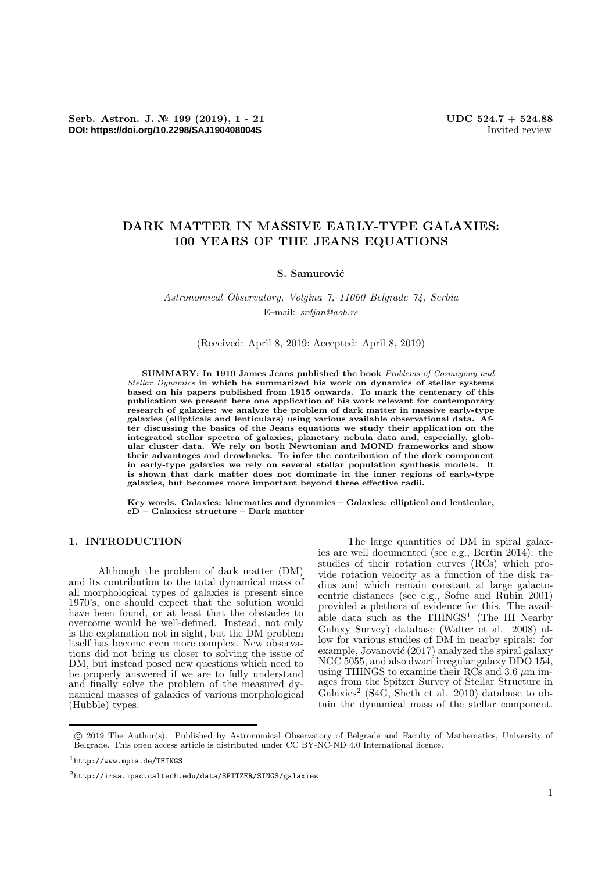# **DARK MATTER IN MASSIVE EARLY-TYPE GALAXIES: 100 YEARS OF THE JEANS EQUATIONS**

### **S. Samurović**

*Astronomical Observatory, Volgina 7, 11060 Belgrade 74, Serbia* E–mail: *srdjan@aob.rs*

### (Received: April 8, 2019; Accepted: April 8, 2019)

**SUMMARY: In 1919 James Jeans published the book** *Problems of Cosmogony and Stellar Dynamics* **in which he summarized his work on dynamics of stellar systems based on his papers published from 1915 onwards. To mark the centenary of this publication we present here one application of his work relevant for contemporary research of galaxies: we analyze the problem of dark matter in massive early-type galaxies (ellipticals and lenticulars) using various available observational data. After discussing the basics of the Jeans equations we study their application on the integrated stellar spectra of galaxies, planetary nebula data and, especially, globular cluster data. We rely on both Newtonian and MOND frameworks and show their advantages and drawbacks. To infer the contribution of the dark component in early-type galaxies we rely on several stellar population synthesis models. It is shown that dark matter does not dominate in the inner regions of early-type galaxies, but becomes more important beyond three effective radii.**

**Key words. Galaxies: kinematics and dynamics – Galaxies: elliptical and lenticular, cD – Galaxies: structure – Dark matter**

# **1. INTRODUCTION**

Although the problem of dark matter (DM) and its contribution to the total dynamical mass of all morphological types of galaxies is present since 1970's, one should expect that the solution would have been found, or at least that the obstacles to overcome would be well-defined. Instead, not only is the explanation not in sight, but the DM problem itself has become even more complex. New observations did not bring us closer to solving the issue of DM, but instead posed new questions which need to be properly answered if we are to fully understand and finally solve the problem of the measured dynamical masses of galaxies of various morphological (Hubble) types.

The large quantities of DM in spiral galaxies are well documented (see e.g., Bertin 2014): the studies of their rotation curves (RCs) which provide rotation velocity as a function of the disk radius and which remain constant at large galactocentric distances (see e.g., Sofue and Rubin 2001) provided a plethora of evidence for this. The available data such as the  $THINGS<sup>1</sup>$  (The HI Nearby Galaxy Survey) database (Walter et al. 2008) allow for various studies of DM in nearby spirals: for example, Jovanović  $(2017)$  analyzed the spiral galaxy NGC 5055, and also dwarf irregular galaxy DDO 154, using THINGS to examine their RCs and 3.6  $\mu$ m images from the Spitzer Survey of Stellar Structure in Galaxies<sup>2</sup> (S4G, Sheth et al. 2010) database to obtain the dynamical mass of the stellar component.

<sup>-</sup>c 2019 The Author(s). Published by Astronomical Observatory of Belgrade and Faculty of Mathematics, University of Belgrade. This open access article is distributed under CC BY-NC-ND 4.0 International licence.

<sup>1</sup>http://www.mpia.de/THINGS

 $2$ http://irsa.ipac.caltech.edu/data/SPITZER/SINGS/galaxies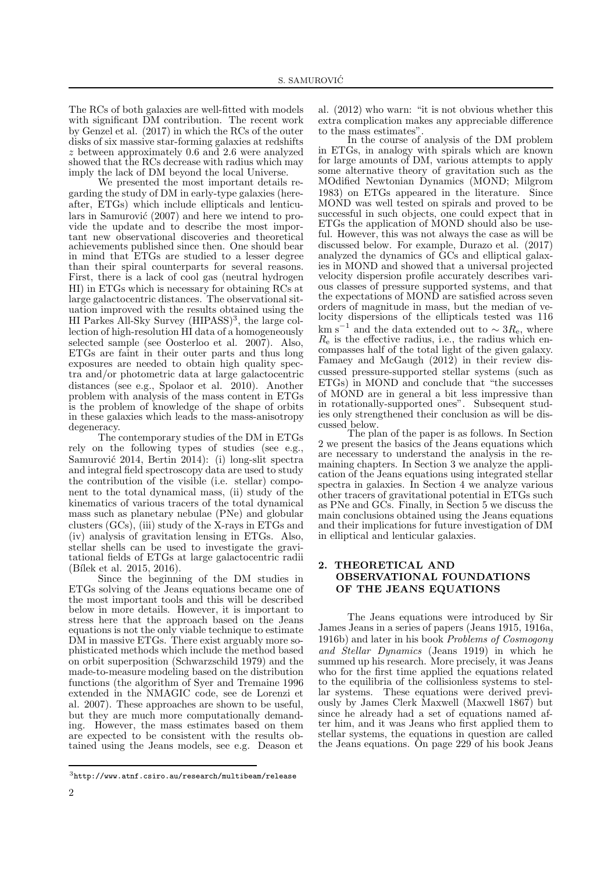The RCs of both galaxies are well-fitted with models with significant DM contribution. The recent work by Genzel et al. (2017) in which the RCs of the outer disks of six massive star-forming galaxies at redshifts z between approximately 0.6 and 2.6 were analyzed showed that the RCs decrease with radius which may imply the lack of DM beyond the local Universe.

We presented the most important details regarding the study of DM in early-type galaxies (hereafter, ETGs) which include ellipticals and lenticulars in Samurović  $(2007)$  and here we intend to provide the update and to describe the most important new observational discoveries and theoretical achievements published since then. One should bear in mind that ETGs are studied to a lesser degree than their spiral counterparts for several reasons. First, there is a lack of cool gas (neutral hydrogen HI) in ETGs which is necessary for obtaining RCs at large galactocentric distances. The observational situation improved with the results obtained using the HI Parkes All-Sky Survey (HIPASS)<sup>3</sup>, the large collection of high-resolution HI data of a homogeneously selected sample (see Oosterloo et al. 2007). Also, ETGs are faint in their outer parts and thus long exposures are needed to obtain high quality spectra and/or photometric data at large galactocentric distances (see e.g., Spolaor et al. 2010). Another problem with analysis of the mass content in ETGs is the problem of knowledge of the shape of orbits in these galaxies which leads to the mass-anisotropy degeneracy.

The contemporary studies of the DM in ETGs rely on the following types of studies (see e.g., Samurović 2014, Bertin 2014): (i) long-slit spectra and integral field spectroscopy data are used to study the contribution of the visible (i.e. stellar) component to the total dynamical mass, (ii) study of the kinematics of various tracers of the total dynamical mass such as planetary nebulae (PNe) and globular clusters (GCs), (iii) study of the X-rays in ETGs and (iv) analysis of gravitation lensing in ETGs. Also, stellar shells can be used to investigate the gravitational fields of ETGs at large galactocentric radii (Bílek et al. 2015, 2016).

Since the beginning of the DM studies in ETGs solving of the Jeans equations became one of the most important tools and this will be described below in more details. However, it is important to stress here that the approach based on the Jeans equations is not the only viable technique to estimate DM in massive ETGs. There exist arguably more sophisticated methods which include the method based on orbit superposition (Schwarzschild 1979) and the made-to-measure modeling based on the distribution functions (the algorithm of Syer and Tremaine 1996 extended in the NMAGIC code, see de Lorenzi et al. 2007). These approaches are shown to be useful, but they are much more computationally demanding. However, the mass estimates based on them are expected to be consistent with the results obtained using the Jeans models, see e.g. Deason et

al. (2012) who warn: "it is not obvious whether this extra complication makes any appreciable difference to the mass estimates".

In the course of analysis of the DM problem in ETGs, in analogy with spirals which are known for large amounts of DM, various attempts to apply some alternative theory of gravitation such as the MOdified Newtonian Dynamics (MOND; Milgrom 1983) on ETGs appeared in the literature. Since MOND was well tested on spirals and proved to be successful in such objects, one could expect that in ETGs the application of MOND should also be useful. However, this was not always the case as will be discussed below. For example, Durazo et al. (2017) analyzed the dynamics of  $\overline{GCs}$  and elliptical galaxies in MOND and showed that a universal projected velocity dispersion profile accurately describes various classes of pressure supported systems, and that the expectations of MOND are satisfied across seven orders of magnitude in mass, but the median of velocity dispersions of the ellipticals tested was 116 km s<sup>-1</sup> and the data extended out to  $\sim 3R_e$ , where  $R_e$  is the effective radius, i.e., the radius which encompasses half of the total light of the given galaxy. Famaey and McGaugh (2012) in their review discussed pressure-supported stellar systems (such as ETGs) in MOND and conclude that "the successes of MOND are in general a bit less impressive than in rotationally-supported ones". Subsequent studies only strengthened their conclusion as will be discussed below.

The plan of the paper is as follows. In Section 2 we present the basics of the Jeans equations which are necessary to understand the analysis in the remaining chapters. In Section 3 we analyze the application of the Jeans equations using integrated stellar spectra in galaxies. In Section 4 we analyze various other tracers of gravitational potential in ETGs such as PNe and GCs. Finally, in Section 5 we discuss the main conclusions obtained using the Jeans equations and their implications for future investigation of DM in elliptical and lenticular galaxies.

# **2. THEORETICAL AND OBSERVATIONAL FOUNDATIONS OF THE JEANS EQUATIONS**

The Jeans equations were introduced by Sir James Jeans in a series of papers (Jeans 1915, 1916a, 1916b) and later in his book *Problems of Cosmogony and Stellar Dynamics* (Jeans 1919) in which he summed up his research. More precisely, it was Jeans who for the first time applied the equations related to the equilibria of the collisionless systems to stellar systems. These equations were derived previously by James Clerk Maxwell (Maxwell 1867) but since he already had a set of equations named after him, and it was Jeans who first applied them to stellar systems, the equations in question are called the Jeans equations. On page 229 of his book Jeans

<sup>3</sup>http://www.atnf.csiro.au/research/multibeam/release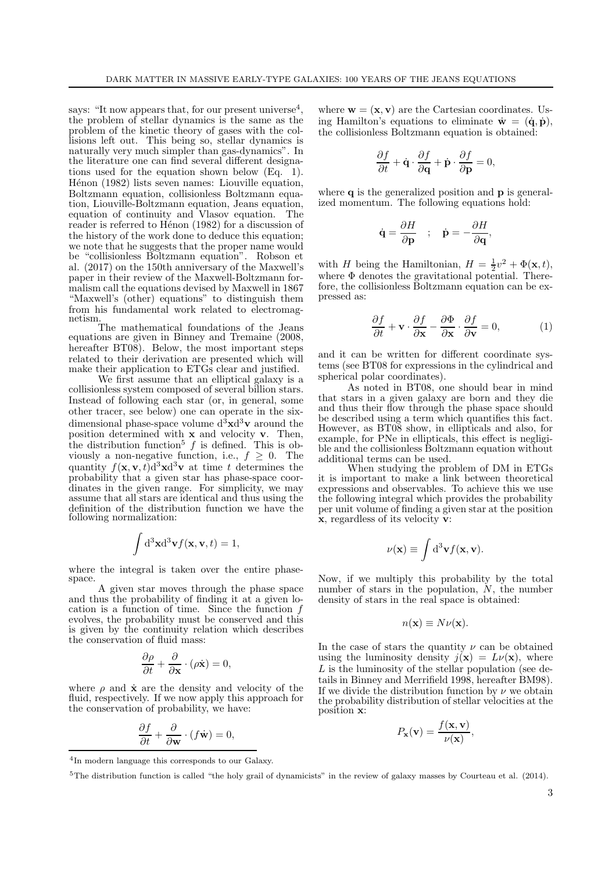says: "It now appears that, for our present universe<sup>4</sup>, the problem of stellar dynamics is the same as the problem of the kinetic theory of gases with the collisions left out. This being so, stellar dynamics is naturally very much simpler than gas-dynamics". In the literature one can find several different designations used for the equation shown below (Eq. 1). Hénon (1982) lists seven names: Liouville equation, Boltzmann equation, collisionless Boltzmann equation, Liouville-Boltzmann equation, Jeans equation, equation of continuity and Vlasov equation. The reader is referred to Hénon (1982) for a discussion of the history of the work done to deduce this equation; we note that he suggests that the proper name would be "collisionless Boltzmann equation". Robson et al. (2017) on the 150th anniversary of the Maxwell's paper in their review of the Maxwell-Boltzmann formalism call the equations devised by Maxwell in 1867 "Maxwell's (other) equations" to distinguish them from his fundamental work related to electromagnetism.

The mathematical foundations of the Jeans equations are given in Binney and Tremaine (2008, hereafter BT08). Below, the most important steps related to their derivation are presented which will make their application to ETGs clear and justified.

We first assume that an elliptical galaxy is a collisionless system composed of several billion stars. Instead of following each star (or, in general, some other tracer, see below) one can operate in the sixdimensional phase-space volume  $d^3x d^3v$  around the position determined with **x** and velocity **v**. Then, the distribution function<sup>5</sup>  $f$  is defined. This is obviously a non-negative function, i.e.,  $f \geq 0$ . The quantity  $f(\mathbf{x}, \mathbf{v}, t) d^3 \mathbf{x} d^3 \mathbf{v}$  at time t determines the probability that a given star has phase-space coordinates in the given range. For simplicity, we may assume that all stars are identical and thus using the definition of the distribution function we have the following normalization:

$$
\int d^3\mathbf{x} d^3\mathbf{v} f(\mathbf{x}, \mathbf{v}, t) = 1,
$$

where the integral is taken over the entire phasespace.

A given star moves through the phase space and thus the probability of finding it at a given location is a function of time. Since the function  $f$ evolves, the probability must be conserved and this is given by the continuity relation which describes the conservation of fluid mass:

$$
\frac{\partial \rho}{\partial t} + \frac{\partial}{\partial {\bf x}} \cdot (\rho \dot{\bf x}) = 0,
$$

where  $\rho$  and  $\dot{\mathbf{x}}$  are the density and velocity of the fluid, respectively. If we now apply this approach for the conservation of probability, we have:

$$
\frac{\partial f}{\partial t} + \frac{\partial}{\partial \mathbf{w}} \cdot (f\dot{\mathbf{w}}) = 0,
$$

where  $\mathbf{w} = (\mathbf{x}, \mathbf{v})$  are the Cartesian coordinates. Using Hamilton's equations to eliminate  $\dot{\mathbf{w}} = (\dot{\mathbf{q}}, \dot{\mathbf{p}})$ , the collisionless Boltzmann equation is obtained:

$$
\frac{\partial f}{\partial t} + \dot{\mathbf{q}} \cdot \frac{\partial f}{\partial \mathbf{q}} + \dot{\mathbf{p}} \cdot \frac{\partial f}{\partial \mathbf{p}} = 0,
$$

where **q** is the generalized position and **p** is generalized momentum. The following equations hold:

$$
\dot{\mathbf{q}} = \frac{\partial H}{\partial \mathbf{p}} \quad ; \quad \dot{\mathbf{p}} = -\frac{\partial H}{\partial \mathbf{q}},
$$

with H being the Hamiltonian,  $H = \frac{1}{2}v^2 + \Phi(\mathbf{x}, t)$ , where Φ denotes the gravitational potential. Therefore, the collisionless Boltzmann equation can be expressed as:

$$
\frac{\partial f}{\partial t} + \mathbf{v} \cdot \frac{\partial f}{\partial \mathbf{x}} - \frac{\partial \Phi}{\partial \mathbf{x}} \cdot \frac{\partial f}{\partial \mathbf{v}} = 0, \tag{1}
$$

and it can be written for different coordinate systems (see BT08 for expressions in the cylindrical and spherical polar coordinates).

As noted in BT08, one should bear in mind that stars in a given galaxy are born and they die and thus their flow through the phase space should be described using a term which quantifies this fact. However, as BT08 show, in ellipticals and also, for example, for PNe in ellipticals, this effect is negligible and the collisionless Boltzmann equation without additional terms can be used.

When studying the problem of DM in ETGs it is important to make a link between theoretical expressions and observables. To achieve this we use the following integral which provides the probability per unit volume of finding a given star at the position **x**, regardless of its velocity **v**:

$$
\nu(\mathbf{x}) \equiv \int d^3 \mathbf{v} f(\mathbf{x}, \mathbf{v}).
$$

Now, if we multiply this probability by the total number of stars in the population,  $N$ , the number density of stars in the real space is obtained:

$$
n(\mathbf{x}) \equiv N\nu(\mathbf{x}).
$$

In the case of stars the quantity  $\nu$  can be obtained using the luminosity density  $j(\mathbf{x}) = L\nu(\mathbf{x})$ , where  $L$  is the luminosity of the stellar population (see details in Binney and Merrifield 1998, hereafter BM98). If we divide the distribution function by  $\nu$  we obtain the probability distribution of stellar velocities at the position **x**:

$$
P_{\mathbf{x}}(\mathbf{v}) = \frac{f(\mathbf{x}, \mathbf{v})}{\nu(\mathbf{x})},
$$

<sup>4</sup>In modern language this corresponds to our Galaxy.

 $5$ The distribution function is called "the holy grail of dynamicists" in the review of galaxy masses by Courteau et al. (2014).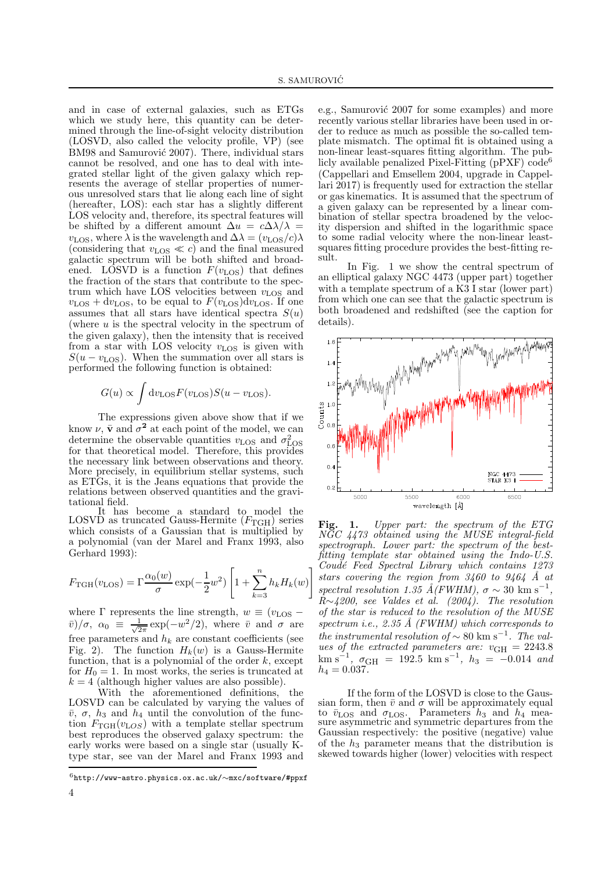1

and in case of external galaxies, such as ETGs which we study here, this quantity can be determined through the line-of-sight velocity distribution (LOSVD, also called the velocity profile, VP) (see BM98 and Samurović 2007). There, individual stars cannot be resolved, and one has to deal with integrated stellar light of the given galaxy which represents the average of stellar properties of numerous unresolved stars that lie along each line of sight (hereafter, LOS): each star has a slightly different LOS velocity and, therefore, its spectral features will be shifted by a different amount  $\Delta u = c \Delta \lambda / \lambda$  $v<sub>LOS</sub>$ , where  $\lambda$  is the wavelength and  $\Delta \lambda = (v<sub>LOS</sub>/c)\lambda$ (considering that  $v_{\text{LOS}} \ll c$ ) and the final measured galactic spectrum will be both shifted and broadened. LOSVD is a function  $F(v_{\text{LOS}})$  that defines the fraction of the stars that contribute to the spectrum which have LOS velocities between  $v_{\text{LOS}}$  and  $v<sub>LOS</sub> + dv<sub>LOS</sub>$ , to be equal to  $F(v<sub>LOS</sub>)dv<sub>LOS</sub>$ . If one assumes that all stars have identical spectra  $S(u)$ (where  $u$  is the spectral velocity in the spectrum of the given galaxy), then the intensity that is received from a star with LOS velocity  $v_{\text{LOS}}$  is given with  $S(u - v_{\text{LOS}})$ . When the summation over all stars is performed the following function is obtained:

$$
G(u) \propto \int dv_{\text{LOS}} F(v_{\text{LOS}}) S(u - v_{\text{LOS}}).
$$

The expressions given above show that if we know  $\nu$ , **v** and  $\sigma^2$  at each point of the model, we can determine the observable quantities  $v_{\text{LOS}}$  and  $\sigma_{\text{LOS}}^2$  for that theoretical model. Therefore, this provides the necessary link between observations and theory. More precisely, in equilibrium stellar systems, such as ETGs, it is the Jeans equations that provide the relations between observed quantities and the gravitational field.

It has become a standard to model the LOSVD as truncated Gauss-Hermite  $(F_{\text{TGH}})$  series which consists of a Gaussian that is multiplied by a polynomial (van der Marel and Franx 1993, also Gerhard 1993):

$$
F_{\rm TGH}(v_{\rm LOS}) = \Gamma \frac{\alpha_0(w)}{\sigma} \exp(-\frac{1}{2}w^2) \left[1 + \sum_{k=3}^n h_k H_k(w)\right]
$$

where  $\Gamma$  represents the line strength,  $w \equiv (v_{\text{LOS}} \bar{v}/\sigma$ ,  $\alpha_0 \equiv \frac{1}{\sqrt{2\pi}} \exp(-w^2/2)$ , where  $\bar{v}$  and  $\sigma$  are free parameters and  $h_k$  are constant coefficients (see Fig. 2). The function  $H_k(w)$  is a Gauss-Hermite function, that is a polynomial of the order  $k$ , except for  $H_0 = 1$ . In most works, the series is truncated at  $k = 4$  (although higher values are also possible).

With the aforementioned definitions, the LOSVD can be calculated by varying the values of  $\bar{v}$ ,  $\sigma$ ,  $h_3$  and  $h_4$  until the convolution of the function  $F_{\text{TGH}}(v_{\text{LOS}})$  with a template stellar spectrum best reproduces the observed galaxy spectrum: the early works were based on a single star (usually Ktype star, see van der Marel and Franx 1993 and e.g., Samurović 2007 for some examples) and more recently various stellar libraries have been used in order to reduce as much as possible the so-called template mismatch. The optimal fit is obtained using a non-linear least-squares fitting algorithm. The publicly available penalized Pixel-Fitting  $(pPXF) code^6$ (Cappellari and Emsellem 2004, upgrade in Cappellari 2017) is frequently used for extraction the stellar or gas kinematics. It is assumed that the spectrum of a given galaxy can be represented by a linear combination of stellar spectra broadened by the velocity dispersion and shifted in the logarithmic space to some radial velocity where the non-linear leastsquares fitting procedure provides the best-fitting result.

In Fig. 1 we show the central spectrum of an elliptical galaxy NGC 4473 (upper part) together with a template spectrum of a K3 I star (lower part) from which one can see that the galactic spectrum is both broadened and redshifted (see the caption for details).



**Fig. 1.** *Upper part: the spectrum of the ETG NGC 4473 obtained using the MUSE integral-field spectrograph. Lower part: the spectrum of the bestfitting template star obtained using the Indo-U.S. Coud´e Feed Spectral Library which contains 1273 stars covering the region from 3460 to 9464 Å at spectral resolution 1.35*  $\AA(FWHM)$ ,  $\sigma \sim 30 \text{ km s}^{-1}$ , *R*∼*4200, see Valdes et al. (2004). The resolution of the star is reduced to the resolution of the MUSE spectrum i.e., 2.35 ˚A (FWHM) which corresponds to the instrumental resolution of* ∼ 80 km s<sup>-1</sup>. The val-<br>
<sup>2019</sup> *ues of the extracted parameters are:* vGH = 2243.8  $\lim_{h \to 0} s^{-1}$ ,  $\sigma_{GH} = 192.5$  km s<sup>-1</sup>,  $h_3 = -0.014$  *and*  $h_4 = 0.037$ .

If the form of the LOSVD is close to the Gaussian form, then  $\bar{v}$  and  $\sigma$  will be approximately equal to  $\bar{v}_{\text{LOS}}$  and  $\sigma_{\text{LOS}}$ . Parameters  $h_3$  and  $h_4$  measure asymmetric and symmetric departures from the Gaussian respectively: the positive (negative) value of the  $h_3$  parameter means that the distribution is skewed towards higher (lower) velocities with respect

<sup>6</sup>http://www-astro.physics.ox.ac.uk/∼mxc/software/#ppxf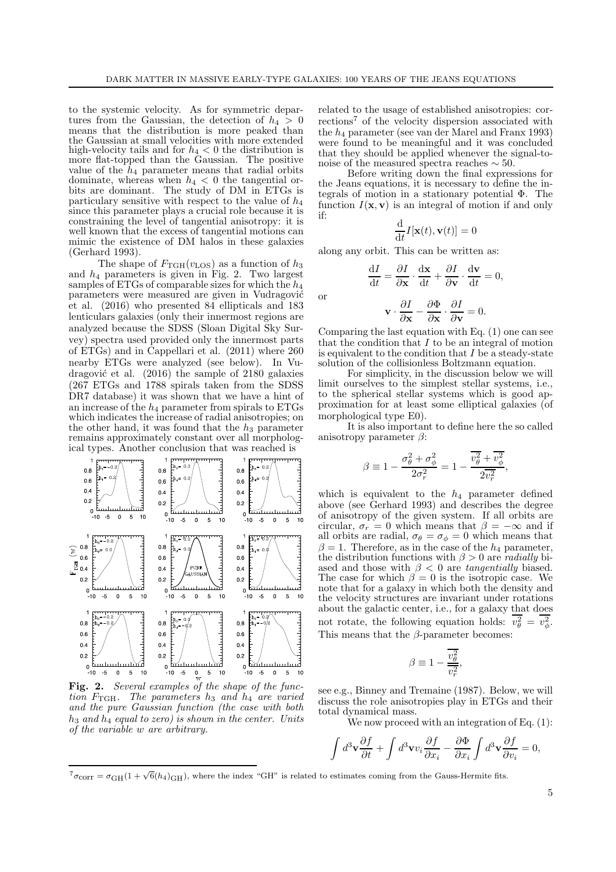or

to the systemic velocity. As for symmetric departures from the Gaussian, the detection of  $h_4 > 0$ means that the distribution is more peaked than the Gaussian at small velocities with more extended high-velocity tails and for  $h_4 < 0$  the distribution is more flat-topped than the Gaussian. The positive value of the  $h_4$  parameter means that radial orbits dominate, whereas when  $h_4 < 0$  the tangential orbits are dominant. The study of DM in ETGs is particulary sensitive with respect to the value of  $h_4$ since this parameter plays a crucial role because it is constraining the level of tangential anisotropy: it is well known that the excess of tangential motions can mimic the existence of DM halos in these galaxies (Gerhard 1993).

The shape of  $F_{\text{TGH}}(v_{\text{LOS}})$  as a function of  $h_3$ and  $h_4$  parameters is given in Fig. 2. Two largest samples of ETGs of comparable sizes for which the  $h_4$ parameters were measured are given in Vudragović et al. (2016) who presented 84 ellipticals and 183 lenticulars galaxies (only their innermost regions are analyzed because the SDSS (Sloan Digital Sky Survey) spectra used provided only the innermost parts of ETGs) and in Cappellari et al. (2011) where 260 nearby ETGs were analyzed (see below). In Vudragović et al.  $(2016)$  the sample of 2180 galaxies (267 ETGs and 1788 spirals taken from the SDSS DR7 database) it was shown that we have a hint of an increase of the  $h_4$  parameter from spirals to ETGs which indicates the increase of radial anisotropies; on the other hand, it was found that the  $h_3$  parameter remains approximately constant over all morphological types. Another conclusion that was reached is



**Fig. 2.** *Several examples of the shape of the func* $t$ *ion*  $F_{TGH}$ . The parameters  $h_3$  and  $h_4$  are varied *and the pure Gaussian function (the case with both*  $h_3$  and  $h_4$  *equal to zero)* is shown in the center. Units *of the variable* w *are arbitrary.*

related to the usage of established anisotropies: corrections<sup>7</sup> of the velocity dispersion associated with the  $h_4$  parameter (see van der Marel and Franx 1993) were found to be meaningful and it was concluded that they should be applied whenever the signal-tonoise of the measured spectra reaches  $\sim$  50.

Before writing down the final expressions for the Jeans equations, it is necessary to define the integrals of motion in a stationary potential Φ. The function  $I(\mathbf{x}, \mathbf{v})$  is an integral of motion if and only if:

$$
\frac{\mathrm{d}}{\mathrm{d}t}I[\mathbf{x}(t), \mathbf{v}(t)] = 0
$$

along any orbit. This can be written as:

 $\frac{\mathrm{d}I}{\mathrm{d}t} = \frac{\partial I}{\partial \mathbf{x}}$ .  $rac{\mathrm{d} \mathbf{x}}{\mathrm{d} t} +$ ∂I ∂**v** · d**v**  $\frac{\mathrm{d} \mathbf{v}}{\mathrm{d} t} = 0,$ **v** ·  $\frac{\partial I}{\partial \mathbf{x}} - \frac{\partial \Phi}{\partial \mathbf{x}}$ .  $\frac{\partial I}{\partial \mathbf{v}} = 0.$ 

Comparing the last equation with Eq. (1) one can see that the condition that  $I$  to be an integral of motion is equivalent to the condition that  $I$  be a steady-state solution of the collisionless Boltzmann equation.

For simplicity, in the discussion below we will limit ourselves to the simplest stellar systems, i.e., to the spherical stellar systems which is good approximation for at least some elliptical galaxies (of morphological type E0).

It is also important to define here the so called anisotropy parameter  $\beta$ :

$$
\beta \equiv 1 - \frac{\sigma_\theta^2 + \sigma_\phi^2}{2\sigma_r^2} = 1 - \frac{\overline{v_\theta^2} + \overline{v_\phi^2}}{2\overline{v_r^2}},
$$

which is equivalent to the  $h_4$  parameter defined above (see Gerhard 1993) and describes the degree of anisotropy of the given system. If all orbits are circular,  $\sigma_r = 0$  which means that  $\beta = -\infty$  and if all orbits are radial,  $\sigma_{\theta} = \sigma_{\phi} = 0$  which means that  $\beta = 1$ . Therefore, as in the case of the  $h_4$  parameter, the distribution functions with  $\beta > 0$  are *radially* biased and those with  $\beta < 0$  are *tangentially* biased. The case for which  $\beta = 0$  is the isotropic case. We note that for a galaxy in which both the density and the velocity structures are invariant under rotations about the galactic center, i.e., for a galaxy that does not rotate, the following equation holds:  $\overline{v_{\theta}^2} = \overline{v_{\phi}^2}$ . This means that the  $\beta$ -parameter becomes:

$$
\beta \equiv 1 - \frac{\overline{v_{\theta}^2}}{\overline{v_{r}^2}}
$$

,

see e.g., Binney and Tremaine (1987). Below, we will discuss the role anisotropies play in ETGs and their total dynamical mass.

We now proceed with an integration of Eq.  $(1)$ :

$$
\int d^3 \mathbf{v} \frac{\partial f}{\partial t} + \int d^3 \mathbf{v} v_i \frac{\partial f}{\partial x_i} - \frac{\partial \Phi}{\partial x_i} \int d^3 \mathbf{v} \frac{\partial f}{\partial v_i} = 0,
$$

 $^7\sigma_{\rm corr} = \sigma_{\rm GH}(1+\sqrt{6}(h_4)_{\rm GH})$ , where the index "GH" is related to estimates coming from the Gauss-Hermite fits.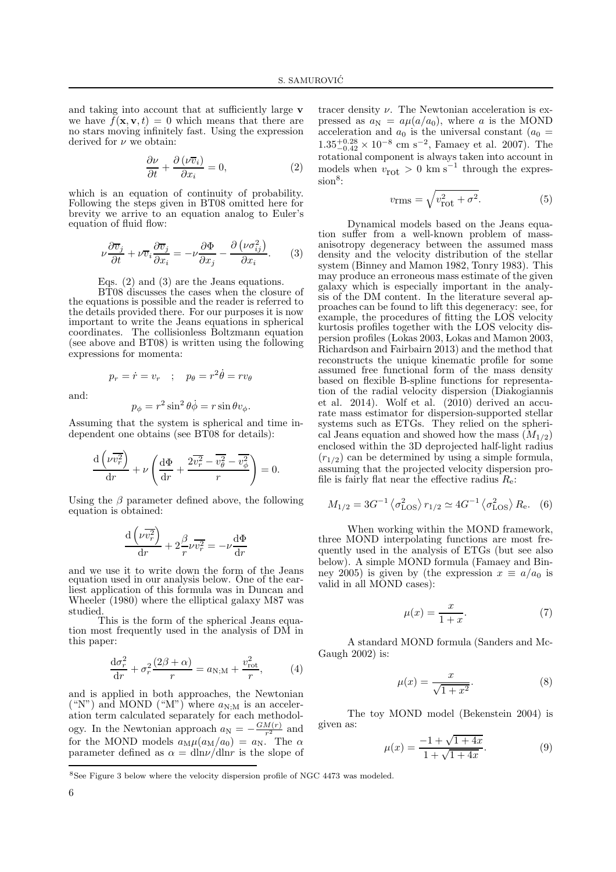and taking into account that at sufficiently large **v** we have  $f(\mathbf{x}, \mathbf{v}, t) = 0$  which means that there are no stars moving infinitely fast. Using the expression derived for  $\nu$  we obtain:

$$
\frac{\partial \nu}{\partial t} + \frac{\partial (\nu \overline{v}_i)}{\partial x_i} = 0, \tag{2}
$$

which is an equation of continuity of probability. Following the steps given in BT08 omitted here for brevity we arrive to an equation analog to Euler's equation of fluid flow:

$$
\nu \frac{\partial \overline{v}_j}{\partial t} + \nu \overline{v}_i \frac{\partial \overline{v}_j}{\partial x_i} = -\nu \frac{\partial \Phi}{\partial x_j} - \frac{\partial (\nu \sigma_{ij}^2)}{\partial x_i}.
$$
 (3)

Eqs. (2) and (3) are the Jeans equations.

BT08 discusses the cases when the closure of the equations is possible and the reader is referred to the details provided there. For our purposes it is now important to write the Jeans equations in spherical coordinates. The collisionless Boltzmann equation (see above and BT08) is written using the following expressions for momenta:

and:

$$
p_{\phi} = r^2 \sin^2 \theta \dot{\phi} = r \sin \theta v_{\phi}.
$$

 $p_r = \dot{r} = v_r \quad ; \quad p_\theta = r^2 \dot{\theta} = r v_\theta$ 

Assuming that the system is spherical and time independent one obtains (see BT08 for details):

$$
\frac{\mathrm{d}\left(\nu\overline{v_r^2}\right)}{\mathrm{d}r} + \nu \left(\frac{\mathrm{d}\Phi}{\mathrm{d}r} + \frac{2\overline{v_r^2} - \overline{v_\theta^2} - \overline{v_\phi^2}}{r}\right) = 0.
$$

Using the  $\beta$  parameter defined above, the following equation is obtained:

$$
\frac{\mathrm{d}\left(\nu\overline{v_r^2}\right)}{\mathrm{d}r} + 2\frac{\beta}{r}\nu\overline{v_r^2} = -\nu\frac{\mathrm{d}\Phi}{\mathrm{d}r}
$$

and we use it to write down the form of the Jeans equation used in our analysis below. One of the earliest application of this formula was in Duncan and Wheeler (1980) where the elliptical galaxy M87 was studied.

This is the form of the spherical Jeans equation most frequently used in the analysis of DM in this paper:

$$
\frac{\mathrm{d}\sigma_r^2}{\mathrm{d}r} + \sigma_r^2 \frac{(2\beta + \alpha)}{r} = a_{N,M} + \frac{v_{\text{rot}}^2}{r},\qquad(4)
$$

and is applied in both approaches, the Newtonian ("N") and MOND ("M") where  $a_{N,M}$  is an acceleration term calculated separately for each methodology. In the Newtonian approach  $a_N = -\frac{GM(r)}{r^2}$  and for the MOND models  $a_M \mu(a_M/a_0) = a_N$ . The  $\alpha$ parameter defined as  $\alpha = \frac{d\ln \nu}{d\ln r}$  is the slope of

tracer density  $\nu$ . The Newtonian acceleration is expressed as  $a_N = a\mu(a/a_0)$ , where a is the MOND acceleration and  $a_0$  is the universal constant  $(a_0 =$  $1.35_{-0.42}^{+0.28} \times 10^{-8}$  cm s<sup>-2</sup>, Famaey et al. 2007). The rotational component is always taken into account in models when  $v_{\text{rot}} > 0 \text{ km s}^{-1}$  through the expres $sion<sup>8</sup>$ :

$$
v_{\rm rms} = \sqrt{v_{\rm rot}^2 + \sigma^2}.\tag{5}
$$

Dynamical models based on the Jeans equation suffer from a well-known problem of massanisotropy degeneracy between the assumed mass density and the velocity distribution of the stellar system (Binney and Mamon 1982, Tonry 1983). This may produce an erroneous mass estimate of the given galaxy which is especially important in the analysis of the DM content. In the literature several approaches can be found to lift this degeneracy: see, for example, the procedures of fitting the LOS velocity kurtosis profiles together with the LOS velocity dispersion profiles (Lokas 2003, Lokas and Mamon 2003, Richardson and Fairbairn 2013) and the method that reconstructs the unique kinematic profile for some assumed free functional form of the mass density based on flexible B-spline functions for representation of the radial velocity dispersion (Diakogiannis et al. 2014). Wolf et al. (2010) derived an accurate mass estimator for dispersion-supported stellar systems such as ETGs. They relied on the spherical Jeans equation and showed how the mass  $(M_{1/2})$ enclosed within the 3D deprojected half-light radius  $(r_{1/2})$  can be determined by using a simple formula, assuming that the projected velocity dispersion profile is fairly flat near the effective radius  $R_e$ :

$$
M_{1/2} = 3G^{-1} \left\langle \sigma_{\text{LOS}}^2 \right\rangle r_{1/2} \simeq 4G^{-1} \left\langle \sigma_{\text{LOS}}^2 \right\rangle R_{\text{e}}.
$$
 (6)

When working within the MOND framework, three MOND interpolating functions are most frequently used in the analysis of ETGs (but see also below). A simple MOND formula (Famaey and Binney 2005) is given by (the expression  $x \equiv a/a_0$  is valid in all MOND cases):

$$
\mu(x) = \frac{x}{1+x}.\tag{7}
$$

A standard MOND formula (Sanders and Mc-Gaugh 2002) is:

$$
\mu(x) = \frac{x}{\sqrt{1+x^2}}.\tag{8}
$$

The toy MOND model (Bekenstein 2004) is given as:

$$
\mu(x) = \frac{-1 + \sqrt{1 + 4x}}{1 + \sqrt{1 + 4x}}.\tag{9}
$$

<sup>8</sup>See Figure 3 below where the velocity dispersion profile of NGC 4473 was modeled.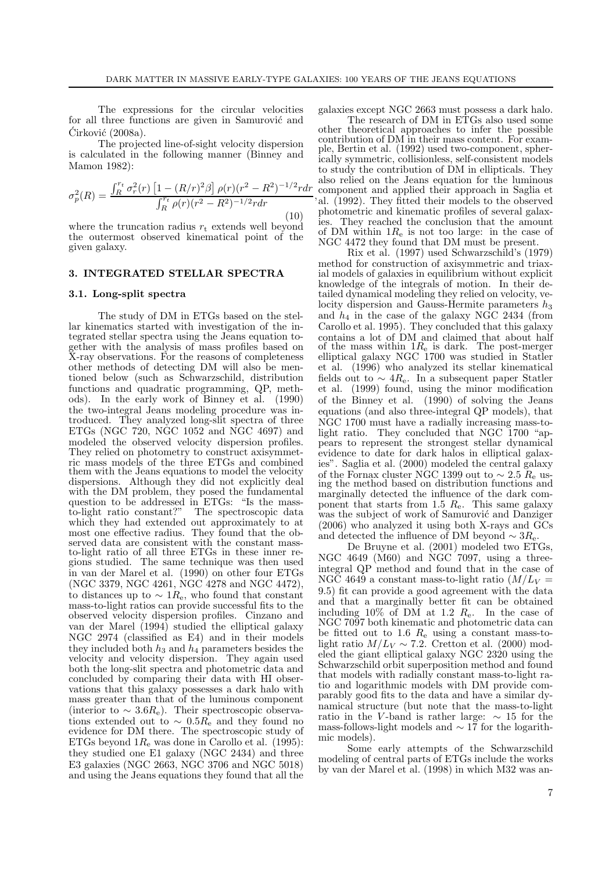The expressions for the circular velocities for all three functions are given in Samurović and  $Cirković (2008a)$ .

The projected line-of-sight velocity dispersion is calculated in the following manner (Binney and Mamon 1982):

$$
\sigma_p^2(R) = \frac{\int_R^{r_t} \sigma_r^2(r) \left[1 - (R/r)^2 \beta\right] \rho(r)(r^2 - R^2)^{-1/2} r dr}{\int_R^{r_t} \rho(r)(r^2 - R^2)^{-1/2} r dr},
$$

(10) where the truncation radius  $r_t$  extends well beyond the outermost observed kinematical point of the given galaxy.

#### **3. INTEGRATED STELLAR SPECTRA**

#### **3.1. Long-split spectra**

The study of DM in ETGs based on the stellar kinematics started with investigation of the integrated stellar spectra using the Jeans equation together with the analysis of mass profiles based on X-ray observations. For the reasons of completeness other methods of detecting DM will also be mentioned below (such as Schwarzschild, distribution functions and quadratic programming, QP, methods). In the early work of Binney et al. (1990) the two-integral Jeans modeling procedure was introduced. They analyzed long-slit spectra of three ETGs (NGC 720, NGC 1052 and NGC 4697) and modeled the observed velocity dispersion profiles. They relied on photometry to construct axisymmetric mass models of the three ETGs and combined them with the Jeans equations to model the velocity dispersions. Although they did not explicitly deal with the DM problem, they posed the fundamental question to be addressed in ETGs: "Is the massto-light ratio constant?" The spectroscopic data which they had extended out approximately to at most one effective radius. They found that the observed data are consistent with the constant massto-light ratio of all three ETGs in these inner regions studied. The same technique was then used in van der Marel et al. (1990) on other four ETGs (NGC 3379, NGC 4261, NGC 4278 and NGC 4472), to distances up to  $\sim 1R_e$ , who found that constant mass-to-light ratios can provide successful fits to the observed velocity dispersion profiles. Cinzano and van der Marel (1994) studied the elliptical galaxy NGC 2974 (classified as E4) and in their models they included both  $h_3$  and  $h_4$  parameters besides the velocity and velocity dispersion. They again used both the long-slit spectra and photometric data and concluded by comparing their data with HI observations that this galaxy possesses a dark halo with mass greater than that of the luminous component (interior to  $\sim 3.6R_e$ ). Their spectroscopic observations extended out to  $\sim 0.5R_e$  and they found no evidence for DM there. The spectroscopic study of ETGs beyond  $1R_e$  was done in Carollo et al. (1995): they studied one E1 galaxy (NGC 2434) and three E3 galaxies (NGC 2663, NGC 3706 and NGC 5018) and using the Jeans equations they found that all the galaxies except NGC 2663 must possess a dark halo.

The research of DM in ETGs also used some other theoretical approaches to infer the possible contribution of DM in their mass content. For example, Bertin et al. (1992) used two-component, spherically symmetric, collisionless, self-consistent models to study the contribution of DM in ellipticals. They also relied on the Jeans equation for the luminous component and applied their approach in Saglia et al. (1992). They fitted their models to the observed photometric and kinematic profiles of several galaxies. They reached the conclusion that the amount of DM within  $1R_e$  is not too large: in the case of NGC 4472 they found that DM must be present.

Rix et al. (1997) used Schwarzschild's (1979) method for construction of axisymmetric and triaxial models of galaxies in equilibrium without explicit knowledge of the integrals of motion. In their detailed dynamical modeling they relied on velocity, velocity dispersion and Gauss-Hermite parameters  $h_3$ and  $h_4$  in the case of the galaxy NGC 2434 (from Carollo et al. 1995). They concluded that this galaxy contains a lot of DM and claimed that about half of the mass within  $1R_e$  is dark. The post-merger elliptical galaxy NGC 1700 was studied in Statler et al. (1996) who analyzed its stellar kinematical fields out to  $\sim 4R_e$ . In a subsequent paper Statler et al. (1999) found, using the minor modification of the Binney et al. (1990) of solving the Jeans equations (and also three-integral QP models), that NGC 1700 must have a radially increasing mass-tolight ratio. They concluded that NGC 1700 "appears to represent the strongest stellar dynamical evidence to date for dark halos in elliptical galaxies". Saglia et al. (2000) modeled the central galaxy of the Fornax cluster NGC 1399 out to  $\sim 2.5 \; R_{\rm e}$  using the method based on distribution functions and marginally detected the influence of the dark component that starts from 1.5  $R_e$ . This same galaxy was the subject of work of Samurović and Danziger (2006) who analyzed it using both X-rays and GCs and detected the influence of DM beyond  $\sim 3R_e$ .

De Bruyne et al. (2001) modeled two ETGs, NGC 4649 (M60) and NGC 7097, using a threeintegral QP method and found that in the case of NGC 4649 a constant mass-to-light ratio  $(M/L_V =$ 9.5) fit can provide a good agreement with the data and that a marginally better fit can be obtained including 10% of DM at 1.2  $R_e$ . In the case of NGC 7097 both kinematic and photometric data can be fitted out to  $1.6$   $R_e$  using a constant mass-tolight ratio  $M/L_V \sim 7.2$ . Cretton et al. (2000) modeled the giant elliptical galaxy NGC 2320 using the Schwarzschild orbit superposition method and found that models with radially constant mass-to-light ratio and logarithmic models with DM provide comparably good fits to the data and have a similar dynamical structure (but note that the mass-to-light ratio in the V-band is rather large:  $\sim$  15 for the mass-follows-light models and  $\sim 17$  for the logarithmic models).

Some early attempts of the Schwarzschild modeling of central parts of ETGs include the works by van der Marel et al. (1998) in which M32 was an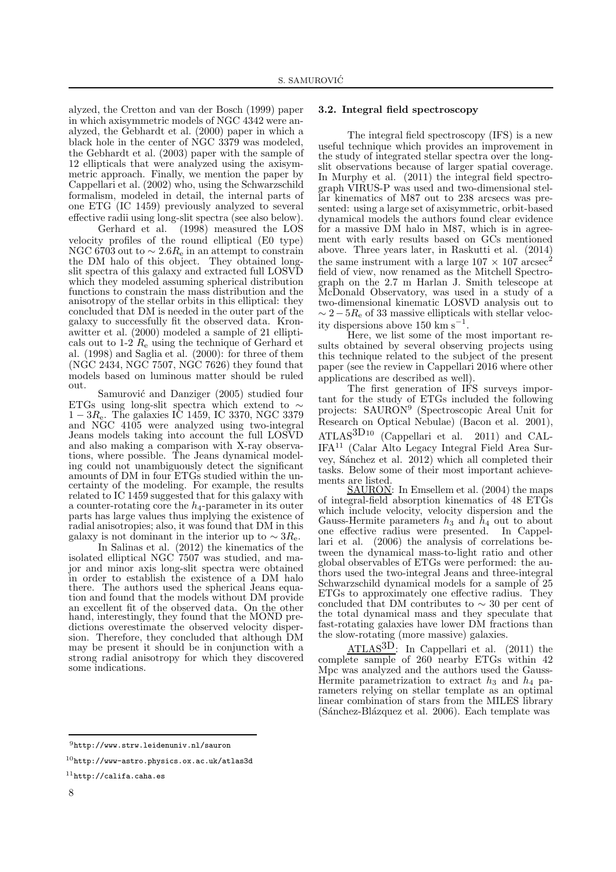alyzed, the Cretton and van der Bosch (1999) paper in which axisymmetric models of NGC 4342 were analyzed, the Gebhardt et al. (2000) paper in which a black hole in the center of NGC 3379 was modeled, the Gebhardt et al. (2003) paper with the sample of 12 ellipticals that were analyzed using the axisymmetric approach. Finally, we mention the paper by Cappellari et al. (2002) who, using the Schwarzschild formalism, modeled in detail, the internal parts of one ETG (IC 1459) previously analyzed to several effective radii using long-slit spectra (see also below).

Gerhard et al. (1998) measured the LOS velocity profiles of the round elliptical (E0 type) NGC 6703 out to  $\sim 2.6R_e$  in an attempt to constrain the DM halo of this object. They obtained longslit spectra of this galaxy and extracted full LOSVD which they modeled assuming spherical distribution functions to constrain the mass distribution and the anisotropy of the stellar orbits in this elliptical: they concluded that DM is needed in the outer part of the galaxy to successfully fit the observed data. Kronawitter et al. (2000) modeled a sample of 21 ellipticals out to 1-2  $R_e$  using the technique of Gerhard et al. (1998) and Saglia et al. (2000): for three of them (NGC 2434, NGC 7507, NGC 7626) they found that models based on luminous matter should be ruled out.

Samurović and Danziger (2005) studied four ETGs using long-slit spectra which extend to  $\sim$  1 − 3 $R_e$ . The galaxies IC 1459, IC 3370, NGC 3379 and NGC 4105 were analyzed using two-integral Jeans models taking into account the full LOSVD and also making a comparison with X-ray observations, where possible. The Jeans dynamical modeling could not unambiguously detect the significant amounts of DM in four ETGs studied within the uncertainty of the modeling. For example, the results related to IC 1459 suggested that for this galaxy with a counter-rotating core the  $h_4$ -parameter in its outer parts has large values thus implying the existence of radial anisotropies; also, it was found that DM in this galaxy is not dominant in the interior up to  $\sim 3R_e$ .

In Salinas et al. (2012) the kinematics of the isolated elliptical NGC 7507 was studied, and major and minor axis long-slit spectra were obtained in order to establish the existence of a DM halo there. The authors used the spherical Jeans equation and found that the models without DM provide an excellent fit of the observed data. On the other hand, interestingly, they found that the MOND predictions overestimate the observed velocity dispersion. Therefore, they concluded that although DM may be present it should be in conjunction with a strong radial anisotropy for which they discovered some indications.

#### **3.2. Integral field spectroscopy**

The integral field spectroscopy (IFS) is a new useful technique which provides an improvement in the study of integrated stellar spectra over the longslit observations because of larger spatial coverage. In Murphy et al. (2011) the integral field spectrograph VIRUS-P was used and two-dimensional stellar kinematics of M87 out to 238 arcsecs was presented: using a large set of axisymmetric, orbit-based dynamical models the authors found clear evidence for a massive DM halo in M87, which is in agreement with early results based on GCs mentioned above. Three years later, in Raskutti et al. (2014) the same instrument with a large  $107 \times 107$  arcsec<sup>2</sup> field of view, now renamed as the Mitchell Spectrograph on the 2.7 m Harlan J. Smith telescope at McDonald Observatory, was used in a study of a two-dimensional kinematic LOSVD analysis out to  $\sim 2-5R_e$  of 33 massive ellipticals with stellar velocity dispersions above 150 km s<sup> $^{-1}$ </sup>.

Here, we list some of the most important results obtained by several observing projects using this technique related to the subject of the present paper (see the review in Cappellari 2016 where other applications are described as well).

The first generation of IFS surveys important for the study of ETGs included the following projects: SAURON<sup>9</sup> (Spectroscopic Areal Unit for Research on Optical Nebulae) (Bacon et al. 2001), ATLAS3D<sup>10</sup> (Cappellari et al. 2011) and CAL-IFA<sup>11</sup> (Calar Alto Legacy Integral Field Area Survey, Sánchez et al.  $2012$ ) which all completed their tasks. Below some of their most important achievements are listed.

SAURON: In Emsellem et al. (2004) the maps of integral-field absorption kinematics of 48 ETGs which include velocity, velocity dispersion and the Gauss-Hermite parameters  $h_3$  and  $\tilde{h}_4$  out to about one effective radius were presented. In Cappellari et al. (2006) the analysis of correlations between the dynamical mass-to-light ratio and other global observables of ETGs were performed: the authors used the two-integral Jeans and three-integral Schwarzschild dynamical models for a sample of 25 ETGs to approximately one effective radius. They concluded that DM contributes to ∼ 30 per cent of the total dynamical mass and they speculate that fast-rotating galaxies have lower DM fractions than the slow-rotating (more massive) galaxies.

ATLAS<sup>3D</sup>: In Cappellari et al.  $(2011)$  the complete sample of 260 nearby ETGs within 42 Mpc was analyzed and the authors used the Gauss-Hermite parametrization to extract  $h_3$  and  $h_4$  parameters relying on stellar template as an optimal linear combination of stars from the MILES library (Sánchez-Blázquez et al. 2006). Each template was

<sup>9</sup>http://www.strw.leidenuniv.nl/sauron

 $^{10}\text{http://www-astro.physics.ox.ac.uk/atlas3d}$ 

<sup>11</sup>http://califa.caha.es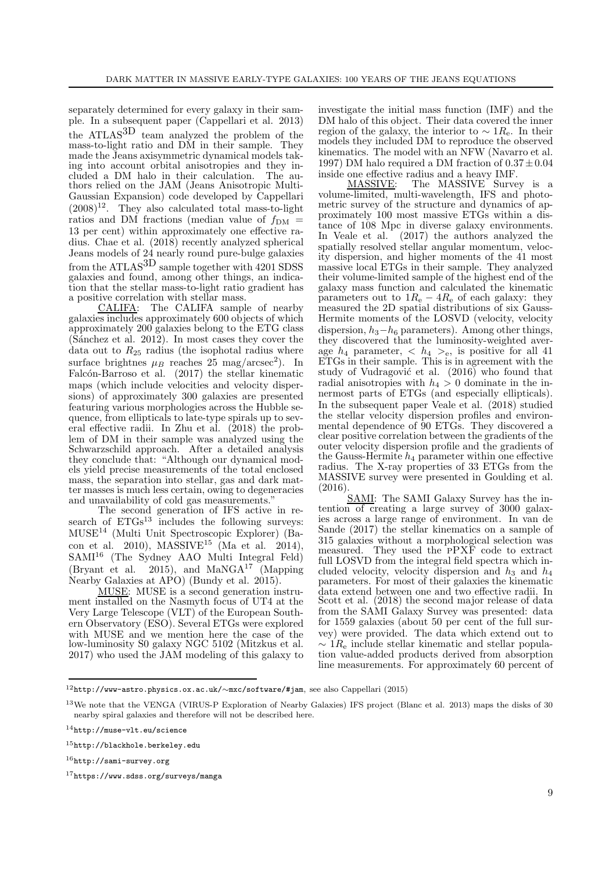separately determined for every galaxy in their sample. In a subsequent paper (Cappellari et al. 2013) the ATLAS3D team analyzed the problem of the mass-to-light ratio and DM in their sample. They made the Jeans axisymmetric dynamical models taking into account orbital anisotropies and they included a DM halo in their calculation. The authors relied on the JAM (Jeans Anisotropic Multi-Gaussian Expansion) code developed by Cappellari  $(2008)^{12}$ . They also calculated total mass-to-light ratios and DM fractions (median value of  $f_{\text{DM}}$  = 13 per cent) within approximately one effective radius. Chae et al. (2018) recently analyzed spherical Jeans models of 24 nearly round pure-bulge galaxies from the  $ATLAS<sup>3D</sup>$  sample together with 4201 SDSS galaxies and found, among other things, an indication that the stellar mass-to-light ratio gradient has a positive correlation with stellar mass.

CALIFA: The CALIFA sample of nearby galaxies includes approximately 600 objects of which approximately 200 galaxies belong to the ETG class (Sánchez et al. 2012). In most cases they cover the data out to  $R_{25}$  radius (the isophotal radius where surface brightnes  $\mu_B$  reaches 25 mag/arcsec<sup>2</sup>). In Falcón-Barroso et al. (2017) the stellar kinematic maps (which include velocities and velocity dispersions) of approximately 300 galaxies are presented featuring various morphologies across the Hubble sequence, from ellipticals to late-type spirals up to several effective radii. In Zhu et al. (2018) the problem of DM in their sample was analyzed using the Schwarzschild approach. After a detailed analysis they conclude that: "Although our dynamical models yield precise measurements of the total enclosed mass, the separation into stellar, gas and dark matter masses is much less certain, owing to degeneracies and unavailability of cold gas measurements."

The second generation of IFS active in research of  $ETGs^{13}$  includes the following surveys: MUSE<sup>14</sup> (Multi Unit Spectroscopic Explorer) (Bacon et al. 2010), MASSIVE<sup>15</sup> (Ma et al. 2014), SAMI<sup>16</sup> (The Sydney AAO Multi Integral Feld) (Bryant et al. 2015), and MaNGA<sup>17</sup> (Mapping Nearby Galaxies at APO) (Bundy et al. 2015).

MUSE: MUSE is a second generation instrument installed on the Nasmyth focus of UT4 at the Very Large Telescope (VLT) of the European Southern Observatory (ESO). Several ETGs were explored with MUSE and we mention here the case of the low-luminosity S0 galaxy NGC 5102 (Mitzkus et al. 2017) who used the JAM modeling of this galaxy to

investigate the initial mass function (IMF) and the DM halo of this object. Their data covered the inner region of the galaxy, the interior to  $\sim 1R_e$ . In their models they included DM to reproduce the observed kinematics. The model with an NFW (Navarro et al. 1997) DM halo required a DM fraction of  $0.37 \pm 0.04$ inside one effective radius and a heavy IMF.

MASSIVE: The MASSIVE Survey is a volume-limited, multi-wavelength, IFS and photometric survey of the structure and dynamics of approximately 100 most massive ETGs within a distance of 108 Mpc in diverse galaxy environments. In Veale et al. (2017) the authors analyzed the spatially resolved stellar angular momentum, velocity dispersion, and higher moments of the 41 most massive local ETGs in their sample. They analyzed their volume-limited sample of the highest end of the galaxy mass function and calculated the kinematic parameters out to  $1R_e - 4R_e$  of each galaxy: they measured the 2D spatial distributions of six Gauss-Hermite moments of the LOSVD (velocity, velocity dispersion,  $h_3-h_6$  parameters). Among other things, they discovered that the luminosity-weighted average  $h_4$  parameter,  $\langle h_4 \rangle$ <sub>e</sub>, is positive for all 41 ETGs in their sample. This is in agreement with the study of Vudragović et al.  $(2016)$  who found that radial anisotropies with  $h_4 > 0$  dominate in the innermost parts of ETGs (and especially ellipticals). In the subsequent paper Veale et al. (2018) studied the stellar velocity dispersion profiles and environmental dependence of 90 ETGs. They discovered a clear positive correlation between the gradients of the outer velocity dispersion profile and the gradients of the Gauss-Hermite  $h_4$  parameter within one effective radius. The X-ray properties of 33 ETGs from the MASSIVE survey were presented in Goulding et al. (2016).

SAMI: The SAMI Galaxy Survey has the intention of creating a large survey of  $3000$  galaxies across a large range of environment. In van de Sande (2017) the stellar kinematics on a sample of 315 galaxies without a morphological selection was measured. They used the PPXF code to extract full LOSVD from the integral field spectra which included velocity, velocity dispersion and  $h_3$  and  $h_4$ parameters. For most of their galaxies the kinematic data extend between one and two effective radii. In Scott et al. (2018) the second major release of data from the SAMI Galaxy Survey was presented: data for 1559 galaxies (about 50 per cent of the full survey) were provided. The data which extend out to  $\sim 1R_e$  include stellar kinematic and stellar population value-added products derived from absorption line measurements. For approximately 60 percent of

<sup>12</sup>http://www-astro.physics.ox.ac.uk/∼mxc/software/#jam, see also Cappellari (2015)

<sup>&</sup>lt;sup>13</sup>We note that the VENGA (VIRUS-P Exploration of Nearby Galaxies) IFS project (Blanc et al. 2013) maps the disks of 30 nearby spiral galaxies and therefore will not be described here.

<sup>14</sup>http://muse-vlt.eu/science

<sup>15</sup>http://blackhole.berkeley.edu

<sup>16</sup>http://sami-survey.org

<sup>17</sup>https://www.sdss.org/surveys/manga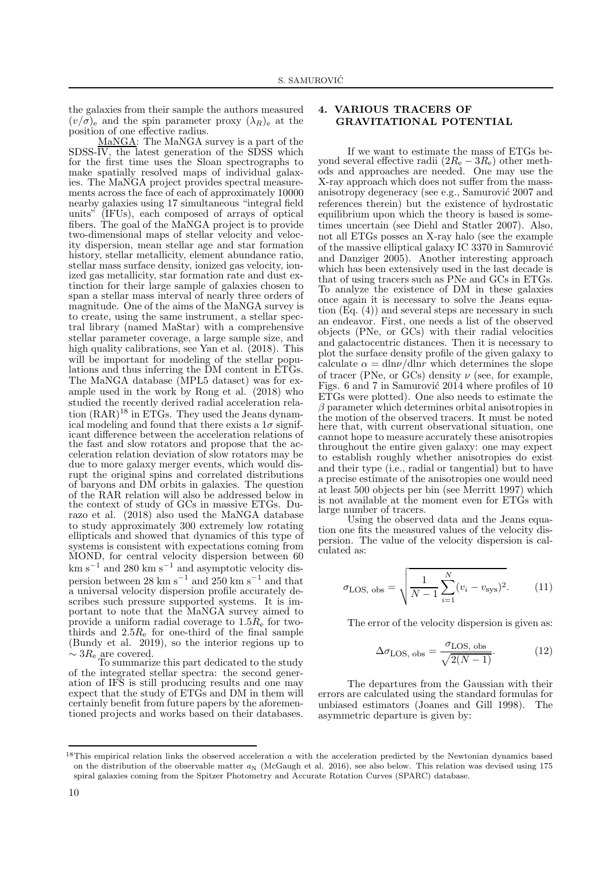the galaxies from their sample the authors measured  $(v/\sigma)_{\rm e}$  and the spin parameter proxy  $(\lambda_R)_{\rm e}$  at the position of one effective radius.

MaNGA: The MaNGA survey is a part of the  $SDSS-\overline{IV}$ , the latest generation of the SDSS which for the first time uses the Sloan spectrographs to make spatially resolved maps of individual galaxies. The MaNGA project provides spectral measurements across the face of each of approximately 10000 nearby galaxies using 17 simultaneous "integral field units" (IFUs), each composed of arrays of optical fibers. The goal of the MaNGA project is to provide two-dimensional maps of stellar velocity and velocity dispersion, mean stellar age and star formation history, stellar metallicity, element abundance ratio, stellar mass surface density, ionized gas velocity, ionized gas metallicity, star formation rate and dust extinction for their large sample of galaxies chosen to span a stellar mass interval of nearly three orders of magnitude. One of the aims of the MaNGA survey is to create, using the same instrument, a stellar spectral library (named MaStar) with a comprehensive stellar parameter coverage, a large sample size, and high quality calibrations, see Yan et al. (2018). This will be important for modeling of the stellar populations and thus inferring the DM content in ETGs. The MaNGA database (MPL5 dataset) was for example used in the work by Rong et al. (2018) who studied the recently derived radial acceleration relation  $(RAR)^{18}$  in ETGs. They used the Jeans dynamical modeling and found that there exists a  $1\sigma$  significant difference between the acceleration relations of the fast and slow rotators and propose that the acceleration relation deviation of slow rotators may be due to more galaxy merger events, which would disrupt the original spins and correlated distributions of baryons and DM orbits in galaxies. The question of the RAR relation will also be addressed below in the context of study of GCs in massive ETGs. Durazo et al. (2018) also used the MaNGA database to study approximately 300 extremely low rotating ellipticals and showed that dynamics of this type of systems is consistent with expectations coming from MOND, for central velocity dispersion between 60 km s<sup> $-1$ </sup> and 280 km s<sup> $-1$ </sup> and asymptotic velocity dispersion between 28 km s<sup> $-1$ </sup> and 250 km s<sup> $-1$ </sup> and that a universal velocity dispersion profile accurately describes such pressure supported systems. It is important to note that the MaNGA survey aimed to provide a uniform radial coverage to  $1.5R_e$  for twothirds and  $2.5R_e$  for one-third of the final sample (Bundy et al. 2019), so the interior regions up to  $\sim 3R_e$  are covered.

To summarize this part dedicated to the study of the integrated stellar spectra: the second generation of IFS is still producing results and one may expect that the study of ETGs and DM in them will certainly benefit from future papers by the aforementioned projects and works based on their databases.

### **4. VARIOUS TRACERS OF GRAVITATIONAL POTENTIAL**

If we want to estimate the mass of ETGs be-<br>yond several effective radii  $(2R_e - 3R_e)$  other meth-<br>ods and approaches are needed. One may use the X-ray approach which does not suffer from the massanisotropy degeneracy (see e.g., Samurović 2007 and references therein) but the existence of hydrostatic equilibrium upon which the theory is based is sometimes uncertain (see Diehl and Statler 2007). Also, not all ETGs posses an X-ray halo (see the example of the massive elliptical galaxy IC  $3370$  in Samurović and Danziger 2005). Another interesting approach which has been extensively used in the last decade is that of using tracers such as PNe and GCs in ETGs. To analyze the existence of DM in these galaxies once again it is necessary to solve the Jeans equation  $(Eq. (4))$  and several steps are necessary in such an endeavor. First, one needs a list of the observed objects (PNe, or GCs) with their radial velocities and galactocentric distances. Then it is necessary to plot the surface density profile of the given galaxy to calculate  $\alpha = \frac{d \ln \nu}{d \ln r}$  which determines the slope of tracer (PNe, or GCs) density  $\nu$  (see, for example, Figs. 6 and 7 in Samurović 2014 where profiles of 10 ETGs were plotted). One also needs to estimate the  $\beta$  parameter which determines orbital anisotropies in the motion of the observed tracers. It must be noted here that, with current observational situation, one cannot hope to measure accurately these anisotropies throughout the entire given galaxy: one may expect to establish roughly whether anisotropies do exist and their type (i.e., radial or tangential) but to have a precise estimate of the anisotropies one would need at least 500 objects per bin (see Merritt 1997) which is not available at the moment even for ETGs with large number of tracers.

Using the observed data and the Jeans equation one fits the measured values of the velocity dispersion. The value of the velocity dispersion is calculated as:

$$
\sigma_{\text{LOS, obs}} = \sqrt{\frac{1}{N - 1} \sum_{i=1}^{N} (v_i - v_{\text{sys}})^2}.
$$
 (11)

The error of the velocity dispersion is given as:

$$
\Delta \sigma_{\text{LOS, obs}} = \frac{\sigma_{\text{LOS, obs}}}{\sqrt{2(N-1)}}.
$$
\n(12)

The departures from the Gaussian with their errors are calculated using the standard formulas for unbiased estimators (Joanes and Gill 1998). The asymmetric departure is given by:

 $18$ This empirical relation links the observed acceleration  $a$  with the acceleration predicted by the Newtonian dynamics based on the distribution of the observable matter  $a_N$  (McGaugh et al. 2016), see also below. This relation was devised using 175 spiral galaxies coming from the Spitzer Photometry and Accurate Rotation Curves (SPARC) database.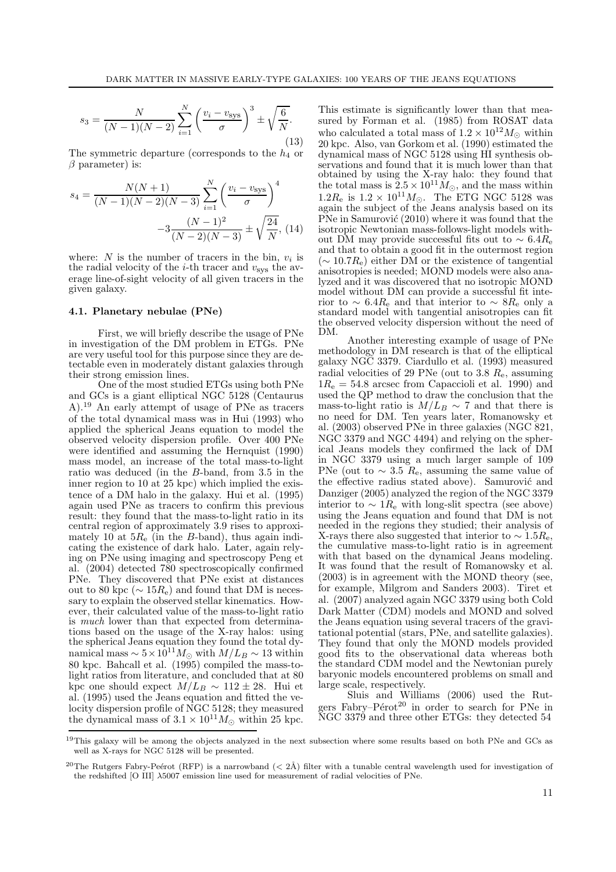$$
s_3 = \frac{N}{(N-1)(N-2)} \sum_{i=1}^{N} \left(\frac{v_i - v_{\text{sys}}}{\sigma}\right)^3 \pm \sqrt{\frac{6}{N}}.
$$
\n(13)

The symmetric departure (corresponds to the  $h_4$  or  $\beta$  parameter) is:

$$
s_4 = \frac{N(N+1)}{(N-1)(N-2)(N-3)} \sum_{i=1}^{N} \left(\frac{v_i - v_{\text{sys}}}{\sigma}\right)^4
$$

$$
-3\frac{(N-1)^2}{(N-2)(N-3)} \pm \sqrt{\frac{24}{N}},
$$
(14)

where: N is the number of tracers in the bin,  $v_i$  is the radial velocity of the *i*-th tracer and  $v_{\rm sys}$  the average line-of-sight velocity of all given tracers in the given galaxy.

# **4.1. Planetary nebulae (PNe)**

First, we will briefly describe the usage of PNe in investigation of the DM problem in ETGs. PNe are very useful tool for this purpose since they are detectable even in moderately distant galaxies through their strong emission lines.

One of the most studied ETGs using both PNe and GCs is a giant elliptical NGC 5128 (Centaurus A).<sup>19</sup> An early attempt of usage of PNe as tracers of the total dynamical mass was in Hui (1993) who applied the spherical Jeans equation to model the observed velocity dispersion profile. Over 400 PNe were identified and assuming the Hernquist (1990) mass model, an increase of the total mass-to-light ratio was deduced (in the B-band, from 3.5 in the inner region to 10 at 25 kpc) which implied the existence of a DM halo in the galaxy. Hui et al. (1995) again used PNe as tracers to confirm this previous result: they found that the mass-to-light ratio in its central region of approximately 3.9 rises to approximately 10 at  $5R_e$  (in the B-band), thus again indicating the existence of dark halo. Later, again relying on PNe using imaging and spectroscopy Peng et al. (2004) detected 780 spectroscopically confirmed PNe. They discovered that PNe exist at distances out to 80 kpc ( $\sim 15R_e$ ) and found that DM is necessary to explain the observed stellar kinematics. However, their calculated value of the mass-to-light ratio is *much* lower than that expected from determinations based on the usage of the X-ray halos: using the spherical Jeans equation they found the total dynamical mass  $\sim 5 \times 10^{11} M_{\odot}$  with  $M/L_B \sim 13$  within 80 kpc. Bahcall et al. (1995) compiled the mass-tolight ratios from literature, and concluded that at 80 kpc one should expect  $M/L_B \sim 112 \pm 28$ . Hui et al. (1995) used the Jeans equation and fitted the velocity dispersion profile of NGC 5128; they measured the dynamical mass of  $3.1 \times 10^{11} M_{\odot}$  within 25 kpc.

This estimate is significantly lower than that measured by Forman et al. (1985) from ROSAT data who calculated a total mass of  $1.2 \times 10^{12} M_{\odot}$  within 20 kpc. Also, van Gorkom et al. (1990) estimated the dynamical mass of NGC 5128 using HI synthesis observations and found that it is much lower than that obtained by using the X-ray halo: they found that the total mass is  $2.5 \times 10^{11} M_{\odot}$ , and the mass within  $1.2R_e$  is  $1.2 \times 10^{11} M_{\odot}$ . The ETG NGC 5128 was again the subject of the Jeans analysis based on its PNe in Samurović  $(2010)$  where it was found that the isotropic Newtonian mass-follows-light models without DM may provide successful fits out to  $\sim 6.4R_e$ and that to obtain a good fit in the outermost region  $({\sim 10.7 R_e})$  either DM or the existence of tangential anisotropies is needed; MOND models were also analyzed and it was discovered that no isotropic MOND model without DM can provide a successful fit interior to  $\sim 6.4R_e$  and that interior to  $\sim 8R_e$  only a standard model with tangential anisotropies can fit the observed velocity dispersion without the need of DM.

Another interesting example of usage of PNe methodology in DM research is that of the elliptical galaxy NGC 3379. Ciardullo et al. (1993) measured radial velocities of 29 PNe (out to 3.8  $R_{\rm e}$ , assuming  $1R_e = 54.8$  arcsec from Capaccioli et al. 1990) and used the QP method to draw the conclusion that the mass-to-light ratio is  $M/L_B \sim 7$  and that there is no need for DM. Ten years later, Romanowsky et al. (2003) observed PNe in three galaxies (NGC 821, NGC 3379 and NGC 4494) and relying on the spherical Jeans models they confirmed the lack of DM in NGC 3379 using a much larger sample of 109 PNe (out to  $\sim 3.5$  R<sub>e</sub>, assuming the same value of the effective radius stated above). Samurović and Danziger (2005) analyzed the region of the NGC 3379 interior to  $\sim 1R_e$  with long-slit spectra (see above) using the Jeans equation and found that DM is not needed in the regions they studied; their analysis of X-rays there also suggested that interior to  $\sim 1.5R_e$ , the cumulative mass-to-light ratio is in agreement with that based on the dynamical Jeans modeling. It was found that the result of Romanowsky et al. (2003) is in agreement with the MOND theory (see, for example, Milgrom and Sanders 2003). Tiret et al. (2007) analyzed again NGC 3379 using both Cold Dark Matter (CDM) models and MOND and solved the Jeans equation using several tracers of the gravitational potential (stars, PNe, and satellite galaxies). They found that only the MOND models provided good fits to the observational data whereas both the standard CDM model and the Newtonian purely baryonic models encountered problems on small and large scale, respectively.

Sluis and Williams (2006) used the Rutgers Fabry–Pérot<sup>20</sup> in order to search for PNe in NGC 3379 and three other ETGs: they detected 54

<sup>&</sup>lt;sup>19</sup>This galaxy will be among the objects analyzed in the next subsection where some results based on both PNe and GCs as well as X-rays for NGC 5128 will be presented.

<sup>&</sup>lt;sup>20</sup>The Rutgers Fabry-Peérot (RFP) is a narrowband ( $\langle 2\text{\AA} \rangle$  filter with a tunable central wavelength used for investigation of the redshifted [O III] λ5007 emission line used for measurement of radial velocities of PNe.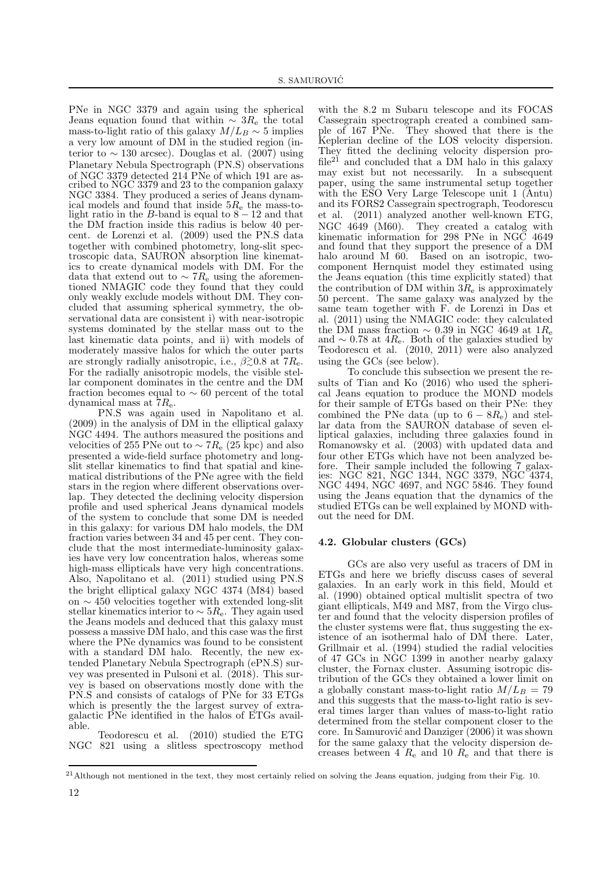PNe in NGC 3379 and again using the spherical Jeans equation found that within  $\sim 3R_e$  the total mass-to-light ratio of this galaxy  $M/L_B \sim 5$  implies a very low amount of DM in the studied region (interior to  $\sim$  130 arcsec). Douglas et al. (2007) using Planetary Nebula Spectrograph (PN.S) observations of NGC 3379 detected 214 PNe of which 191 are ascribed to NGC 3379 and 23 to the companion galaxy NGC 3384. They produced a series of Jeans dynamical models and found that inside  $5R_e$  the mass-tolight ratio in the B-band is equal to  $8-12$  and that the DM fraction inside this radius is below 40 percent. de Lorenzi et al. (2009) used the PN.S data together with combined photometry, long-slit spectroscopic data, SAURON absorption line kinematics to create dynamical models with DM. For the data that extend out to  $\sim 7R_e$  using the aforementioned NMAGIC code they found that they could only weakly exclude models without DM. They concluded that assuming spherical symmetry, the observational data are consistent i) with near-isotropic systems dominated by the stellar mass out to the last kinematic data points, and ii) with models of moderately massive halos for which the outer parts are strongly radially anisotropic, i.e.,  $\beta \gtrsim 0.8$  at  $7R_e$ . For the radially anisotropic models, the visible stellar component dominates in the centre and the DM fraction becomes equal to ∼ 60 percent of the total dynamical mass at  $7R_e$ .

PN.S was again used in Napolitano et al. (2009) in the analysis of DM in the elliptical galaxy NGC 4494. The authors measured the positions and velocities of 255 PNe out to  $\sim$  7R<sub>e</sub> (25 kpc) and also presented a wide-field surface photometry and longslit stellar kinematics to find that spatial and kinematical distributions of the PNe agree with the field stars in the region where different observations overlap. They detected the declining velocity dispersion profile and used spherical Jeans dynamical models of the system to conclude that some DM is needed in this galaxy: for various DM halo models, the DM fraction varies between 34 and 45 per cent. They conclude that the most intermediate-luminosity galaxies have very low concentration halos, whereas some high-mass ellipticals have very high concentrations. Also, Napolitano et al. (2011) studied using PN.S the bright elliptical galaxy NGC 4374 (M84) based on ∼ 450 velocities together with extended long-slit stellar kinematics interior to  $\sim 5R_e$ . They again used the Jeans models and deduced that this galaxy must possess a massive DM halo, and this case was the first where the PNe dynamics was found to be consistent with a standard DM halo. Recently, the new extended Planetary Nebula Spectrograph (ePN.S) survey was presented in Pulsoni et al. (2018). This survey is based on observations mostly done with the PN.S and consists of catalogs of PNe for 33 ETGs which is presently the the largest survey of extragalactic PNe identified in the halos of ETGs available.

Teodorescu et al. (2010) studied the ETG NGC 821 using a slitless spectroscopy method

with the 8.2 m Subaru telescope and its FOCAS Cassegrain spectrograph created a combined sample of 167 PNe. They showed that there is the Keplerian decline of the LOS velocity dispersion. They fitted the declining velocity dispersion pro- $\rm file^{21}$  and concluded that a DM halo in this galaxy may exist but not necessarily. In a subsequent paper, using the same instrumental setup together with the ESO Very Large Telescope unit 1 (Antu) and its FORS2 Cassegrain spectrograph, Teodorescu et al. (2011) analyzed another well-known ETG, NGC 4649 (M60). They created a catalog with kinematic information for 298 PNe in NGC 4649 and found that they support the presence of a DM halo around M 60. Based on an isotropic, twocomponent Hernquist model they estimated using the Jeans equation (this time explicitly stated) that the contribution of DM within  $3R_e$  is approximately 50 percent. The same galaxy was analyzed by the same team together with F. de Lorenzi in Das et al. (2011) using the NMAGIC code: they calculated the DM mass fraction  $\sim 0.39$  in NGC 4649 at  $1R_e$ and  $\sim 0.78$  at  $4R_e$ . Both of the galaxies studied by Teodorescu et al. (2010, 2011) were also analyzed using the GCs (see below).

To conclude this subsection we present the results of Tian and Ko (2016) who used the spherical Jeans equation to produce the MOND models for their sample of ETGs based on their PNe: they combined the PNe data (up to  $6 - 8R_e$ ) and stellar data from the SAURON database of seven elliptical galaxies, including three galaxies found in Romanowsky et al. (2003) with updated data and four other ETGs which have not been analyzed before. Their sample included the following 7 galaxies: NGC 821, NGC 1344, NGC 3379, NGC 4374, NGC 4494, NGC 4697, and NGC 5846. They found using the Jeans equation that the dynamics of the studied ETGs can be well explained by MOND without the need for DM.

### **4.2. Globular clusters (GCs)**

GCs are also very useful as tracers of DM in ETGs and here we briefly discuss cases of several galaxies. In an early work in this field, Mould et al. (1990) obtained optical multislit spectra of two giant ellipticals, M49 and M87, from the Virgo cluster and found that the velocity dispersion profiles of the cluster systems were flat, thus suggesting the existence of an isothermal halo of DM there. Later, Grillmair et al. (1994) studied the radial velocities of 47 GCs in NGC 1399 in another nearby galaxy cluster, the Fornax cluster. Assuming isotropic distribution of the GCs they obtained a lower limit on a globally constant mass-to-light ratio  $M/L_B = 79$ and this suggests that the mass-to-light ratio is several times larger than values of mass-to-light ratio determined from the stellar component closer to the core. In Samurović and Danziger (2006) it was shown for the same galaxy that the velocity dispersion decreases between  $4\overset{\circ}{R}_{e}$  and  $10\overset{\circ}{R}_{e}$  and that there is

 $^{21}$  Although not mentioned in the text, they most certainly relied on solving the Jeans equation, judging from their Fig. 10.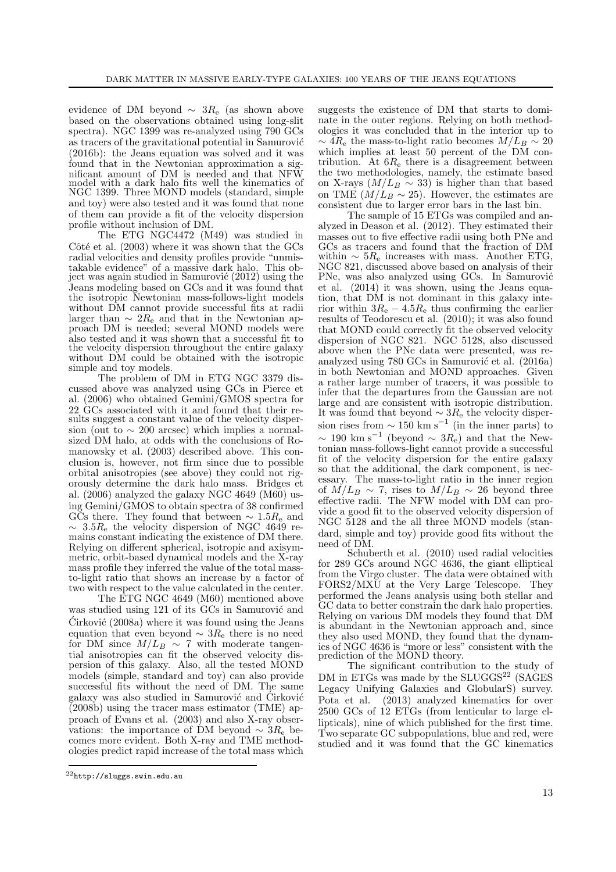evidence of DM beyond  $\sim 3R_e$  (as shown above based on the observations obtained using long-slit spectra). NGC 1399 was re-analyzed using 790 GCs as tracers of the gravitational potential in Samurović (2016b): the Jeans equation was solved and it was found that in the Newtonian approximation a significant amount of DM is needed and that NFW model with a dark halo fits well the kinematics of NGC 1399. Three MOND models (standard, simple and toy) were also tested and it was found that none of them can provide a fit of the velocity dispersion profile without inclusion of DM.

The ETG NGC4472 (M49) was studied in Côté et al.  $(2003)$  where it was shown that the GCs radial velocities and density profiles provide "unmistakable evidence" of a massive dark halo. This object was again studied in Samurović (2012) using the Jeans modeling based on GCs and it was found that the isotropic Newtonian mass-follows-light models without DM cannot provide successful fits at radii larger than  $\sim 2R_e$  and that in the Newtonian approach DM is needed; several MOND models were also tested and it was shown that a successful fit to the velocity dispersion throughout the entire galaxy without DM could be obtained with the isotropic simple and toy models.

The problem of DM in ETG NGC 3379 discussed above was analyzed using GCs in Pierce et al.  $(2006)$  who obtained Gemini/GMOS spectra for 22 GCs associated with it and found that their results suggest a constant value of the velocity dispersion (out to  $\sim 200$  arcsec) which implies a normalsized DM halo, at odds with the conclusions of Romanowsky et al. (2003) described above. This conclusion is, however, not firm since due to possible orbital anisotropies (see above) they could not rigorously determine the dark halo mass. Bridges et al.  $(2006)$  analyzed the galaxy NGC 4649 (M60) using Gemini/GMOS to obtain spectra of 38 confirmed GCs there. They found that between ∼ 1.5 $R_e$  and ~ 3.5 $R_e$  the velocity dispersion of NGC 4649 remains constant indicating the existence of DM there. Relying on different spherical, isotropic and axisymmetric, orbit-based dynamical models and the X-ray mass profile they inferred the value of the total massto-light ratio that shows an increase by a factor of two with respect to the value calculated in the center.

The ETG NGC 4649 (M60) mentioned above was studied using 121 of its GCs in Samurović and  $\text{Cirković (2008a)}$  where it was found using the Jeans equation that even beyond  $\sim 3R_e$  there is no need for DM since  $M/L_B \sim 7$  with moderate tangential anisotropies can fit the observed velocity dispersion of this galaxy. Also, all the tested MOND models (simple, standard and toy) can also provide successful fits without the need of DM. The same galaxy was also studied in Samurović and Ćirković (2008b) using the tracer mass estimator (TME) approach of Evans et al. (2003) and also X-ray observations: the importance of DM beyond  $\sim 3R_e$  becomes more evident. Both X-ray and TME methodologies predict rapid increase of the total mass which

suggests the existence of DM that starts to dominate in the outer regions. Relying on both methodologies it was concluded that in the interior up to  $\sim 4R_e$  the mass-to-light ratio becomes  $M/L_B \sim 20$ which implies at least 50 percent of the DM contribution. At  $6R_e$  there is a disagreement between the two methodologies, namely, the estimate based on X-rays  $(M/L_B \sim 33)$  is higher than that based on TME  $(M/L_B \sim 25)$ . However, the estimates are consistent due to larger error bars in the last bin.

The sample of 15 ETGs was compiled and analyzed in Deason et al. (2012). They estimated their masses out to five effective radii using both PNe and GCs as tracers and found that the fraction of DM within  $\sim 5R_e$  increases with mass. Another ETG, NGC 821, discussed above based on analysis of their PNe, was also analyzed using GCs. In Samurović et al. (2014) it was shown, using the Jeans equation, that DM is not dominant in this galaxy interior within  $3R_e - 4.5R_e$  thus confirming the earlier results of Teodorescu et al. (2010); it was also found that MOND could correctly fit the observed velocity dispersion of NGC 821. NGC 5128, also discussed above when the PNe data were presented, was reanalyzed using 780 GCs in Samurović et al. (2016a) in both Newtonian and MOND approaches. Given a rather large number of tracers, it was possible to infer that the departures from the Gaussian are not large and are consistent with isotropic distribution. It was found that beyond  $\sim 3R_e$  the velocity dispersion rises from  $\sim 150 \text{ km s}^{-1}$  (in the inner parts) to  $\sim$  190 km s<sup>-1</sup> (beyond  $\sim$  3R<sub>e</sub>) and that the Newtonian mass-follows-light cannot provide a successful fit of the velocity dispersion for the entire galaxy so that the additional, the dark component, is necessary. The mass-to-light ratio in the inner region of  $M/L_B \sim 7$ , rises to  $M/L_B \sim 26$  beyond three effective radii. The NFW model with DM can provide a good fit to the observed velocity dispersion of NGC 5128 and the all three MOND models (standard, simple and toy) provide good fits without the need of DM.

Schuberth et al. (2010) used radial velocities for 289 GCs around NGC 4636, the giant elliptical from the Virgo cluster. The data were obtained with FORS2/MXU at the Very Large Telescope. They performed the Jeans analysis using both stellar and GC data to better constrain the dark halo properties. Relying on various DM models they found that DM is abundant in the Newtonian approach and, since they also used MOND, they found that the dynamics of NGC 4636 is "more or less" consistent with the prediction of the MOND theory.

The significant contribution to the study of  $DM$  in ETGs was made by the SLUGGS $^{22}$  (SAGES) Legacy Unifying Galaxies and GlobularS) survey. Pota et al. (2013) analyzed kinematics for over 2500 GCs of 12 ETGs (from lenticular to large ellipticals), nine of which published for the first time. Two separate GC subpopulations, blue and red, were studied and it was found that the GC kinematics

 $^{22}\mathrm{http://sluggs.swin.edu.au}$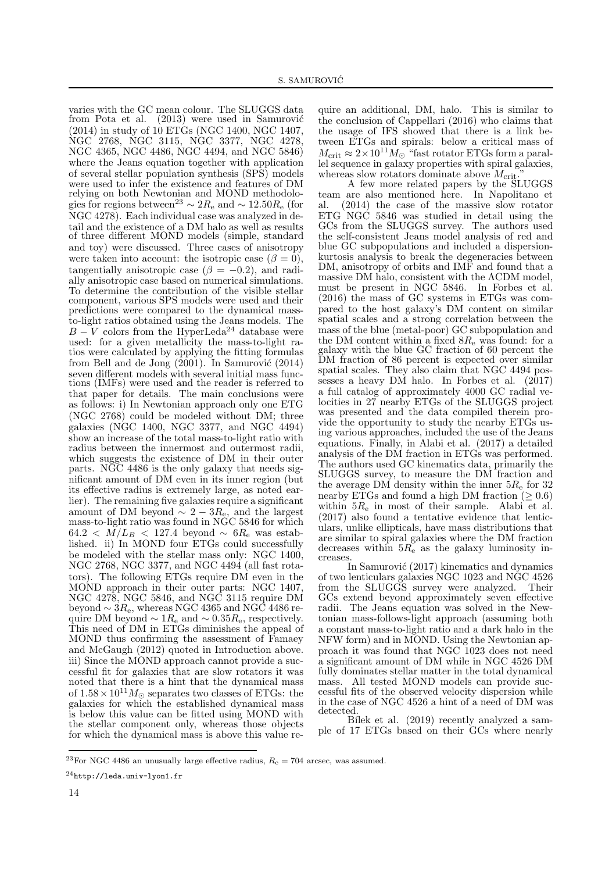varies with the GC mean colour. The SLUGGS data from Pota et al.  $(2013)$  were used in Samurović (2014) in study of 10 ETGs (NGC 1400, NGC 1407, NGC 2768, NGC 3115, NGC 3377, NGC 4278, NGC 4365, NGC 4486, NGC 4494, and NGC 5846) where the Jeans equation together with application of several stellar population synthesis (SPS) models were used to infer the existence and features of DM relying on both Newtonian and MOND methodologies for regions between<sup>23</sup> ∼ 2R<sub>e</sub> and ∼ 12.50R<sub>e</sub> (for NGC 4278). Each individual case was analyzed in detail and the existence of a DM halo as well as results of three different MOND models (simple, standard and toy) were discussed. Three cases of anisotropy were taken into account: the isotropic case  $(\beta = 0)$ . tangentially anisotropic case ( $\beta = -0.2$ ), and radially anisotropic case based on numerical simulations. To determine the contribution of the visible stellar component, various SPS models were used and their predictions were compared to the dynamical massto-light ratios obtained using the Jeans models. The  $B - V$  colors from the HyperLeda<sup>24</sup> database were used: for a given metallicity the mass-to-light ratios were calculated by applying the fitting formulas from Bell and de Jong  $(2001)$ . In Samurović  $(2014)$ seven different models with several initial mass functions (IMFs) were used and the reader is referred to that paper for details. The main conclusions were as follows: i) In Newtonian approach only one ETG (NGC 2768) could be modeled without DM; three galaxies (NGC 1400, NGC 3377, and NGC 4494) show an increase of the total mass-to-light ratio with radius between the innermost and outermost radii, which suggests the existence of DM in their outer parts. NGC 4486 is the only galaxy that needs significant amount of DM even in its inner region (but its effective radius is extremely large, as noted earlier). The remaining five galaxies require a significant amount of DM beyond  $\sim 2 - 3R_e$ , and the largest mass-to-light ratio was found in NGC 5846 for which  $64.2 < \tilde{M}/L_B < 127.4$  beyond ~  $6R_e$  was established. ii) In MOND four ETGs could successfully be modeled with the stellar mass only: NGC 1400, NGC 2768, NGC 3377, and NGC 4494 (all fast rotators). The following ETGs require DM even in the MOND approach in their outer parts: NGC 1407, NGC 4278, NGC 5846, and NGC 3115 require DM beyond  $\sim 3R_e$ , whereas NGC 4365 and NGC 4486 require DM beyond  $\sim 1R_e$  and  $\sim 0.35R_e$ , respectively. This need of DM in ETGs diminishes the appeal of MOND thus confirming the assessment of Famaey and McGaugh (2012) quoted in Introduction above. iii) Since the MOND approach cannot provide a successful fit for galaxies that are slow rotators it was noted that there is a hint that the dynamical mass of  $1.58\times 10^{11}M_{\odot}$  separates two classes of ETGs: the galaxies for which the established dynamical mass is below this value can be fitted using MOND with the stellar component only, whereas those objects for which the dynamical mass is above this value require an additional, DM, halo. This is similar to the conclusion of Cappellari (2016) who claims that the usage of IFS showed that there is a link between ETGs and spirals: below a critical mass of  $M_{\text{crit}} \approx 2 \times 10^{11} M_{\odot}$  "fast rotator ETGs form a parallel sequence in galaxy properties with spiral galaxies, whereas slow rotators dominate above  $M_{\text{crit}}$ ."

A few more related papers by the SLUGGS team are also mentioned here. In Napolitano et al. (2014) the case of the massive slow rotator ETG NGC 5846 was studied in detail using the GCs from the SLUGGS survey. The authors used the self-consistent Jeans model analysis of red and blue GC subpopulations and included a dispersionkurtosis analysis to break the degeneracies between DM, anisotropy of orbits and IMF and found that a massive DM halo, consistent with the  $\Lambda{\rm CDM}$  model, must be present in NGC 5846. In Forbes et al. (2016) the mass of GC systems in ETGs was compared to the host galaxy's DM content on similar spatial scales and a strong correlation between the mass of the blue (metal-poor) GC subpopulation and the DM content within a fixed  $8R_{\rm e}$  was found: for a galaxy with the blue GC fraction of 60 percent the DM fraction of 86 percent is expected over similar spatial scales. They also claim that NGC 4494 possesses a heavy DM halo. In Forbes et al. (2017) a full catalog of approximately 4000 GC radial velocities in 27 nearby ETGs of the SLUGGS project was presented and the data compiled therein provide the opportunity to study the nearby ETGs using various approaches, included the use of the Jeans equations. Finally, in Alabi et al. (2017) a detailed analysis of the DM fraction in ETGs was performed. The authors used GC kinematics data, primarily the SLUGGS survey, to measure the DM fraction and the average DM density within the inner  $5R<sub>e</sub>$  for 32 nearby ETGs and found a high DM fraction  $(>0.6)$ within  $5R_e$  in most of their sample. Alabi et al. (2017) also found a tentative evidence that lenticulars, unlike ellipticals, have mass distributions that are similar to spiral galaxies where the DM fraction decreases within  $5R_e$  as the galaxy luminosity increases.

In Samurović  $(2017)$  kinematics and dynamics of two lenticulars galaxies NGC 1023 and NGC 4526 from the SLUGGS survey were analyzed. Their GCs extend beyond approximately seven effective radii. The Jeans equation was solved in the Newtonian mass-follows-light approach (assuming both a constant mass-to-light ratio and a dark halo in the NFW form) and in MOND. Using the Newtonian approach it was found that NGC 1023 does not need a significant amount of DM while in NGC 4526 DM fully dominates stellar matter in the total dynamical mass. All tested MOND models can provide successful fits of the observed velocity dispersion while in the case of NGC 4526 a hint of a need of DM was detected.

Bîlek et al. (2019) recently analyzed a sample of 17 ETGs based on their GCs where nearly

<sup>&</sup>lt;sup>23</sup>For NGC 4486 an unusually large effective radius,  $R_e = 704$  arcsec, was assumed.

<sup>24</sup>http://leda.univ-lyon1.fr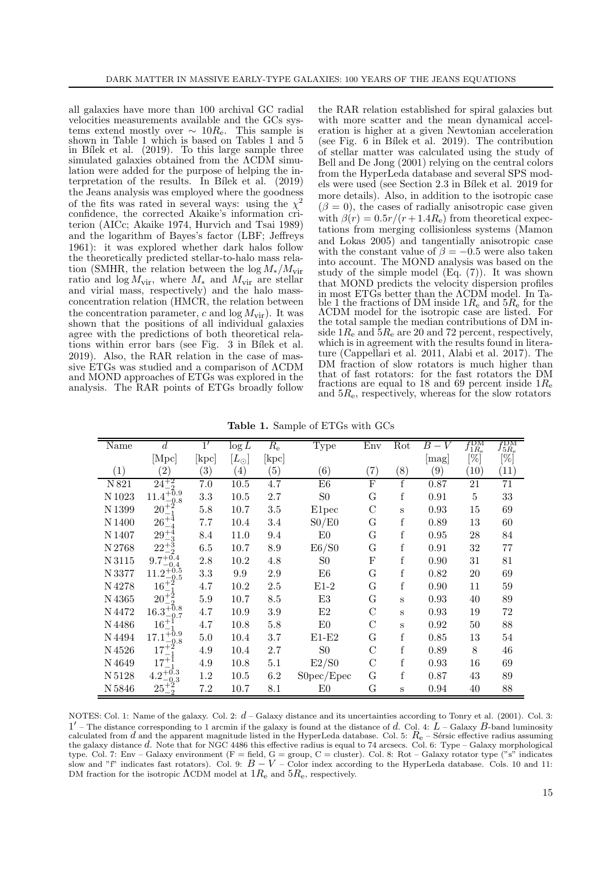all galaxies have more than 100 archival GC radial velocities measurements available and the GCs systems extend mostly over  $\sim 10R_e$ . This sample is shown in Table 1 which is based on Tables 1 and 5 in Bílek et al.  $(2019)$ . To this large sample three simulated galaxies obtained from the ΛCDM simulation were added for the purpose of helping the interpretation of the results. In Bilek et al.  $(2019)$ the Jeans analysis was employed where the goodness of the fits was rated in several ways: using the  $\chi^2$ confidence, the corrected Akaike's information criterion (AICc; Akaike 1974, Hurvich and Tsai 1989) and the logarithm of Bayes's factor (LBF; Jeffreys 1961): it was explored whether dark halos follow the theoretically predicted stellar-to-halo mass relation (SMHR, the relation between the  $\log M_*/M_{\rm vir}$ ratio and  $\log M_{\text{vir}}$ , where  $M_*$  and  $M_{\text{vir}}$  are stellar and virial mass, respectively) and the halo massconcentration relation (HMCR, the relation between the concentration parameter, c and  $\log M_{\rm vir}$ ). It was shown that the positions of all individual galaxies agree with the predictions of both theoretical relations within error bars (see Fig. 3 in Bílek et al. 2019). Also, the RAR relation in the case of massive ETGs was studied and a comparison of ΛCDM and MOND approaches of ETGs was explored in the analysis. The RAR points of ETGs broadly follow

the RAR relation established for spiral galaxies but with more scatter and the mean dynamical acceleration is higher at a given Newtonian acceleration (see Fig.  $6$  in Bílek et al. 2019). The contribution of stellar matter was calculated using the study of Bell and De Jong (2001) relying on the central colors from the HyperLeda database and several SPS models were used (see Section 2.3 in B´ılek et al. 2019 for more details). Also, in addition to the isotropic case  $(\beta = 0)$ , the cases of radially anisotropic case given with  $\beta(r)=0.5r/(r+1.4R_e)$  from theoretical expectations from merging collisionless systems (Mamon and Lokas 2005) and tangentially anisotropic case with the constant value of  $\beta = -0.5$  were also taken into account. The MOND analysis was based on the study of the simple model (Eq. (7)). It was shown that MOND predicts the velocity dispersion profiles in most ETGs better than the  $\Lambda$ CDM model. In Table 1 the fractions of DM inside  $1R_e$  and  $5R_e$  for the ΛCDM model for the isotropic case are listed. For the total sample the median contributions of DM inside  $1R_e$  and  $5R_e$  are 20 and 72 percent, respectively, which is in agreement with the results found in literature (Cappellari et al. 2011, Alabi et al. 2017). The DM fraction of slow rotators is much higher than that of fast rotators: for the fast rotators the DM fractions are equal to 18 and 69 percent inside  $1R_e$ and  $5R_{\rm e}$ , respectively, whereas for the slow rotators

**Table 1.** Sample of ETGs with GCs

| Name   | d                      | 1'                | $\log L$         | $R_{\rm e}$      | Type              | Env                       | Rot     | $B-V$                     | $f_{1R_{\rm e}}^{\rm DM}$ | $f_{5R_{\rm e}}^{\rm DM}$ |
|--------|------------------------|-------------------|------------------|------------------|-------------------|---------------------------|---------|---------------------------|---------------------------|---------------------------|
|        | $[{\rm Mpc}]$          | $[\mathrm{kpc}]$  | $ L_\odot $      | $[\mathrm{kpc}]$ |                   |                           |         | $\left \text{mag}\right $ | [%]                       | [%]                       |
| (1)    | $\left 2\right\rangle$ | $\left( 3\right)$ | $\left(4\right)$ | $\left(5\right)$ | (6)               | $\left( 7\right)$         | (8)     | (9)                       | (10)                      | (11)                      |
| N 821  | $24^{+2}_{-2}$         | 7.0               | 10.5             | 4.7              | E6                | ${\bf F}$                 | $\rm f$ | 0.87                      | 21                        | 71                        |
| N 1023 | $11.4^{+5.9}_{-0.8}$   | 3.3               | 10.5             | 2.7              | S <sub>0</sub>    | G                         | f       | 0.91                      | 5                         | $33\,$                    |
| N 1399 | $20^{+2}$              | 5.8               | 10.7             | 3.5              | E <sub>1pec</sub> | C                         | S       | 0.93                      | 15                        | 69                        |
| N 1400 | $26^{+\frac{1}{4}}$    | 7.7               | 10.4             | 3.4              | SO/E0             | G                         | f       | 0.89                      | 13                        | 60                        |
| N 1407 | $29^{+4}_{-3}$         | 8.4               | 11.0             | 9.4              | E0                | G                         | f       | 0.95                      | $\sqrt{28}$               | 84                        |
| N 2768 | $22^{+3}_{-2}$         | $6.5\,$           | 10.7             | 8.9              | E6/S0             | G                         | f       | 0.91                      | 32                        | $77\,$                    |
| N 3115 |                        | 2.8               | 10.2             | 4.8              | S <sub>0</sub>    | $\boldsymbol{\mathrm{F}}$ | f       | 0.90                      | 31                        | 81                        |
| N 3377 | $11.2^{+0.5}_{-0.5}$   | 3.3               | $\rm 9.9$        | $2.9\,$          | E6                | G                         | f       | 0.82                      | $20\,$                    | 69                        |
| N4278  | $16^{+2}_{-1}$         | 4.7               | 10.2             | 2.5              | $E1-2$            | G                         | f       | 0.90                      | 11                        | 59                        |
| N4365  | $20^{+2}_{-2}$         | 5.9               | 10.7             | 8.5              | E3                | G                         | S       | 0.93                      | 40                        | 89                        |
| N4472  | $16.3_{-0.7}^{+0.8}$   | 4.7               | 10.9             | 3.9              | E2                | $\mathcal{C}$             | S       | 0.93                      | 19                        | $72\,$                    |
| N4486  | $16^{+1}_{-1}$         | 4.7               | 10.8             | $5.8\,$          | E0                | C                         | S       | 0.92                      | $50\,$                    | 88                        |
| N4494  | $17.1^{+0.9}_{-0.8}$   | 5.0               | 10.4             | 3.7              | $E1-E2$           | G                         | f       | 0.85                      | 13                        | $54\,$                    |
| N4526  | $17^{+2}_{-1}$         | 4.9               | 10.4             | 2.7              | S <sub>0</sub>    | С                         | f       | 0.89                      | 8                         | $46\,$                    |
| N4649  |                        | 4.9               | 10.8             | 5.1              | E2/S0             | C                         | f       | 0.93                      | 16                        | 69                        |
| N 5128 | $4.2^{+0.3}$           | 1.2               | 10.5             | 6.2              | S0pec/Epec        | G                         | f       | 0.87                      | 43                        | 89                        |
| N 5846 | $25^{+2}_{-2}$         | 7.2               | 10.7             | 8.1              | E0                | G                         | S       | 0.94                      | 40                        | 88                        |

NOTES: Col. 1: Name of the galaxy. Col. 2:  $d$  – Galaxy distance and its uncertainties according to Tonry et al. (2001). Col. 3:  $1'$  – The distance corresponding to 1 arcmin if the galaxy is found at the distance of d. Col. 4:  $L$  – Galaxy  $B$ -band luminosity calculated from d and the apparent magnitude listed in the HyperLeda database. Col. 5:  $R_{\rm e}$  – Sérsic effective radius assuming the galaxy distance  $d$ . Note that for NGC 4486 this effective radius is equal to 74 arcsecs. Col. 6: Type – Galaxy morphological type. Col. 7: Env – Galaxy environment (F = field, G = group, C = cluster). Col. 8: Rot – Galaxy rotator type ("s" indicates<br>slow and "f" indicates fast rotators). Col. 9:  $B - V$  – Color index according to the HyperLeda da DM fraction for the isotropic  $\Lambda$ CDM model at  $1R_e$  and  $5R_e$ , respectively.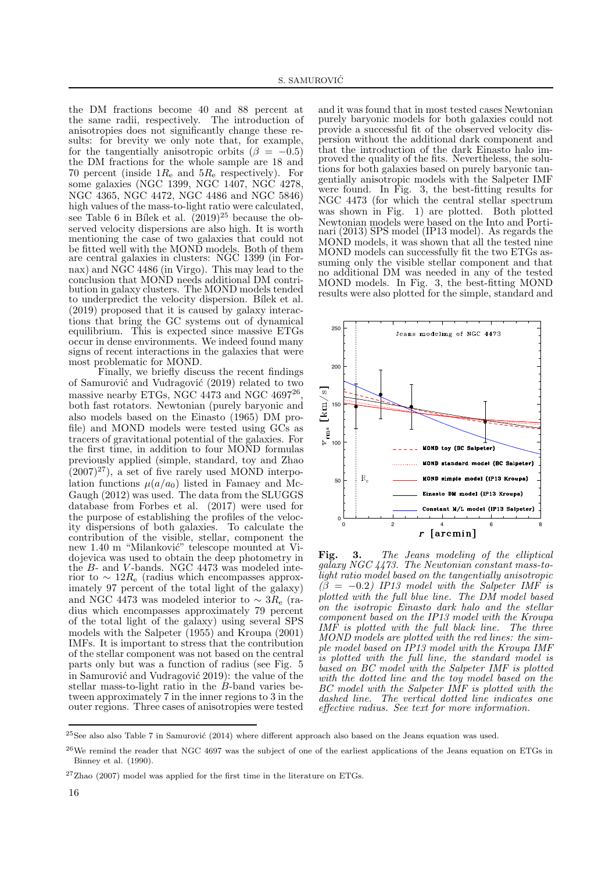the DM fractions become 40 and 88 percent at the same radii, respectively. The introduction of anisotropies does not significantly change these results: for brevity we only note that, for example, for the tangentially anisotropic orbits ( $\beta = -0.5$ ) the DM fractions for the whole sample are 18 and 70 percent (inside  $1R_e$  and  $5R_e$  respectively). For some galaxies (NGC 1399, NGC 1407, NGC 4278, NGC 4365, NGC 4472, NGC 4486 and NGC 5846) high values of the mass-to-light ratio were calculated, see Table 6 in Bílek et al.  $(2019)^{25}$  because the observed velocity dispersions are also high. It is worth mentioning the case of two galaxies that could not be fitted well with the MOND models. Both of them are central galaxies in clusters: NGC 1399 (in Fornax) and NGC 4486 (in Virgo). This may lead to the conclusion that MOND needs additional DM contribution in galaxy clusters. The MOND models tended to underpredict the velocity dispersion. Bílek et al. (2019) proposed that it is caused by galaxy interactions that bring the GC systems out of dynamical equilibrium. This is expected since massive ETGs occur in dense environments. We indeed found many signs of recent interactions in the galaxies that were most problematic for MOND.

Finally, we briefly discuss the recent findings of Samurović and Vudragović (2019) related to two massive nearby ETGs, NGC 4473 and NGC 4697<sup>26</sup>, both fast rotators. Newtonian (purely baryonic and also models based on the Einasto (1965) DM profile) and MOND models were tested using GCs as tracers of gravitational potential of the galaxies. For the first time, in addition to four MOND formulas previously applied (simple, standard, toy and Zhao  $(2007)^{27}$ , a set of five rarely used MOND interpolation functions  $\mu(a/a_0)$  listed in Famaey and Mc-Gaugh (2012) was used. The data from the SLUGGS database from Forbes et al. (2017) were used for the purpose of establishing the profiles of the velocity dispersions of both galaxies. To calculate the contribution of the visible, stellar, component the new 1.40 m "Milanković" telescope mounted at Vidojevica was used to obtain the deep photometry in the B- and V-bands. NGC 4473 was modeled interior to  $\sim 12R_e$  (radius which encompasses approximately 97 percent of the total light of the galaxy) and NGC 4473 was modeled interior to  $\sim 3R_e$  (radius which encompasses approximately 79 percent of the total light of the galaxy) using several SPS models with the Salpeter  $(1955)$  and Kroupa (2001) IMFs. It is important to stress that the contribution of the stellar component was not based on the central parts only but was a function of radius (see Fig. 5 in Samurović and Vudragović 2019): the value of the stellar mass-to-light ratio in the  $\hat{B}$ -band varies between approximately 7 in the inner regions to 3 in the outer regions. Three cases of anisotropies were tested

and it was found that in most tested cases Newtonian purely baryonic models for both galaxies could not provide a successful fit of the observed velocity dispersion without the additional dark component and that the introduction of the dark Einasto halo improved the quality of the fits. Nevertheless, the solutions for both galaxies based on purely baryonic tangentially anisotropic models with the Salpeter IMF were found. In Fig. 3, the best-fitting results for NGC 4473 (for which the central stellar spectrum was shown in Fig. 1) are plotted. Both plotted Newtonian models were based on the Into and Portinari (2013) SPS model (IP13 model). As regards the MOND models, it was shown that all the tested nine MOND models can successfully fit the two ETGs assuming only the visible stellar component and that no additional DM was needed in any of the tested MOND models. In Fig. 3, the best-fitting MOND results were also plotted for the simple, standard and



**Fig. 3.** *The Jeans modeling of the elliptical galaxy NGC 4473. The Newtonian constant mass-tolight ratio model based on the tangentially anisotropic*  $(\check{\beta} = -0.2)$  *IP13 model with the Salpeter IMF is plotted with the full blue line. The DM model based on the isotropic Einasto dark halo and the stellar component based on the IP13 model with the Kroupa IMF is plotted with the full black line. The three MOND models are plotted with the red lines: the simple model based on IP13 model with the Kroupa IMF is plotted with the full line, the standard model is based on BC model with the Salpeter IMF is plotted with the dotted line and the toy model based on the BC model with the Salpeter IMF is plotted with the dashed line. The vertical dotted line indicates one effective radius. See text for more information.*

 $^{25}$ See also also Table 7 in Samurović (2014) where different approach also based on the Jeans equation was used.

 $^{26}$ We remind the reader that NGC 4697 was the subject of one of the earliest applications of the Jeans equation on ETGs in Binney et al. (1990).

 $27$ Zhao (2007) model was applied for the first time in the literature on ETGs.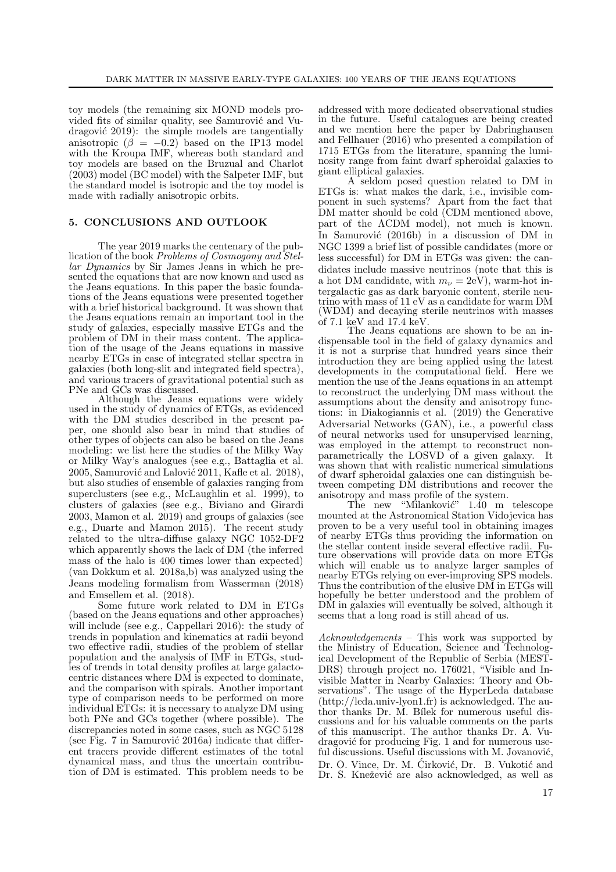toy models (the remaining six MOND models provided fits of similar quality, see Samurović and Vudragović 2019): the simple models are tangentially anisotropic ( $\beta = -0.2$ ) based on the IP13 model with the Kroupa IMF, whereas both standard and toy models are based on the Bruzual and Charlot (2003) model (BC model) with the Salpeter IMF, but the standard model is isotropic and the toy model is made with radially anisotropic orbits.

#### **5. CONCLUSIONS AND OUTLOOK**

The year 2019 marks the centenary of the publication of the book *Problems of Cosmogony and Stellar Dynamics* by Sir James Jeans in which he presented the equations that are now known and used as the Jeans equations. In this paper the basic foundations of the Jeans equations were presented together with a brief historical background. It was shown that the Jeans equations remain an important tool in the study of galaxies, especially massive ETGs and the problem of DM in their mass content. The application of the usage of the Jeans equations in massive nearby ETGs in case of integrated stellar spectra in galaxies (both long-slit and integrated field spectra), and various tracers of gravitational potential such as PNe and GCs was discussed.

Although the Jeans equations were widely used in the study of dynamics of ETGs, as evidenced with the DM studies described in the present paper, one should also bear in mind that studies of other types of objects can also be based on the Jeans modeling: we list here the studies of the Milky Way or Milky Way's analogues (see e.g., Battaglia et al. 2005, Samurović and Lalović 2011, Kafle et al. 2018), but also studies of ensemble of galaxies ranging from superclusters (see e.g., McLaughlin et al. 1999), to clusters of galaxies (see e.g., Biviano and Girardi 2003, Mamon et al. 2019) and groups of galaxies (see e.g., Duarte and Mamon 2015). The recent study related to the ultra-diffuse galaxy NGC 1052-DF2 which apparently shows the lack of DM (the inferred mass of the halo is 400 times lower than expected) (van Dokkum et al. 2018a,b) was analyzed using the Jeans modeling formalism from Wasserman (2018) and Emsellem et al. (2018).

Some future work related to DM in ETGs (based on the Jeans equations and other approaches) will include (see e.g., Cappellari 2016): the study of trends in population and kinematics at radii beyond two effective radii, studies of the problem of stellar population and the analysis of IMF in ETGs, studies of trends in total density profiles at large galactocentric distances where DM is expected to dominate, and the comparison with spirals. Another important type of comparison needs to be performed on more individual ETGs: it is necessary to analyze DM using both PNe and GCs together (where possible). The discrepancies noted in some cases, such as NGC 5128 (see Fig.  $7$  in Samurović 2016a) indicate that different tracers provide different estimates of the total dynamical mass, and thus the uncertain contribution of DM is estimated. This problem needs to be

addressed with more dedicated observational studies in the future. Useful catalogues are being created and we mention here the paper by Dabringhausen and Fellhauer (2016) who presented a compilation of 1715 ETGs from the literature, spanning the luminosity range from faint dwarf spheroidal galaxies to giant elliptical galaxies.

A seldom posed question related to DM in ETGs is: what makes the dark, i.e., invisible component in such systems? Apart from the fact that DM matter should be cold (CDM mentioned above, part of the ΛCDM model), not much is known. In Samurović  $(2016b)$  in a discussion of DM in NGC 1399 a brief list of possible candidates (more or less successful) for DM in ETGs was given: the candidates include massive neutrinos (note that this is a hot DM candidate, with  $m_{\nu} = 2 \text{eV}$ , warm-hot intergalactic gas as dark baryonic content, sterile neutrino with mass of 11 eV as a candidate for warm DM (WDM) and decaying sterile neutrinos with masses of 7.1 keV and 17.4 keV.

The Jeans equations are shown to be an indispensable tool in the field of galaxy dynamics and it is not a surprise that hundred years since their introduction they are being applied using the latest developments in the computational field. Here we mention the use of the Jeans equations in an attempt to reconstruct the underlying DM mass without the assumptions about the density and anisotropy functions: in Diakogiannis et al. (2019) the Generative Adversarial Networks (GAN), i.e., a powerful class of neural networks used for unsupervised learning, was employed in the attempt to reconstruct nonparametrically the LOSVD of a given galaxy. It was shown that with realistic numerical simulations of dwarf spheroidal galaxies one can distinguish between competing DM distributions and recover the anisotropy and mass profile of the system.

The new "Milanković"  $1.40$  m telescope mounted at the Astronomical Station Vidojevica has proven to be a very useful tool in obtaining images of nearby ETGs thus providing the information on the stellar content inside several effective radii. Future observations will provide data on more ETGs which will enable us to analyze larger samples of nearby ETGs relying on ever-improving SPS models. Thus the contribution of the elusive DM in ETGs will hopefully be better understood and the problem of DM in galaxies will eventually be solved, although it seems that a long road is still ahead of us.

*Acknowledgements* – This work was supported by the Ministry of Education, Science and Technological Development of the Republic of Serbia (MEST-DRS) through project no. 176021, "Visible and Invisible Matter in Nearby Galaxies: Theory and Observations". The usage of the HyperLeda database (http://leda.univ-lyon1.fr) is acknowledged. The author thanks Dr. M. Bílek for numerous useful discussions and for his valuable comments on the parts of this manuscript. The author thanks Dr. A. Vudragović for producing Fig. 1 and for numerous useful discussions. Useful discussions with M. Jovanović, Dr. O. Vince, Dr. M. Ćirković, Dr. B. Vukotić and Dr. S. Knežević are also acknowledged, as well as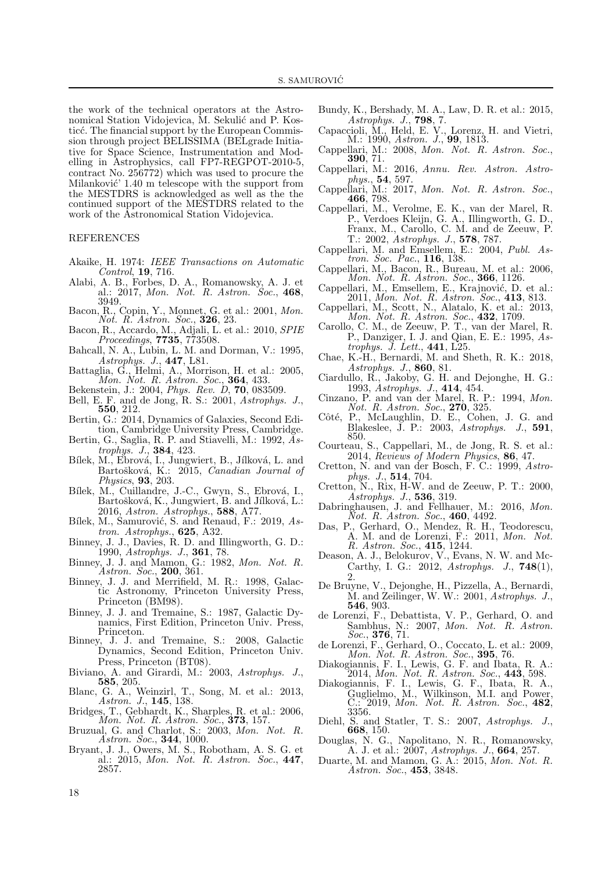the work of the technical operators at the Astronomical Station Vidojevica, M. Sekulić and P. Kosticć. The financial support by the European Commission through project BELISSIMA (BELgrade Initiative for Space Science, Instrumentation and Modelling in Astrophysics, call FP7-REGPOT-2010-5, contract No. 256772) which was used to procure the Milanković' 1.40 m telescope with the support from the MESTDRS is acknowledged as well as the the continued support of the MESTDRS related to the work of the Astronomical Station Vidojevica.

### REFERENCES

- Akaike, H. 1974: *IEEE Transactions on Automatic Control*, **19**, 716.
- Alabi, A. B., Forbes, D. A., Romanowsky, A. J. et al.: 2017, *Mon. Not. R. Astron. Soc.*, **<sup>468</sup>**, 3949.
- Bacon, R., Copin, Y., Monnet, G. et al.: 2001, *Mon. Not. R. Astron. Soc.*, **326**, 23.
- Bacon, R., Accardo, M., Adjali, L. et al.: 2010, *SPIE Proceedings*, **7735**, 773508.
- Bahcall, N. A., Lubin, L. M. and Dorman, V.: 1995, *Astrophys. J.*, **447**, L81.
- Battaglia, G., Helmi, A., Morrison, H. et al.: 2005, *Mon. Not. R. Astron. Soc.*, **<sup>364</sup>**, 433.
- Bekenstein, J.: 2004, *Phys. Rev. D*, **70**, 083509.
- Bell, E. F. and de Jong, R. S.: 2001, *Astrophys. J.*, **<sup>550</sup>**, 212.
- Bertin, G.: 2014, Dynamics of Galaxies, Second Edition, Cambridge University Press, Cambridge.
- Bertin, G., Saglia, R. P. and Stiavelli, M.: 1992, *Astrophys. J.*, **384**, 423.
- Bílek, M., Ebrová, I., Jungwiert, B., Jílková, L. and Bartošková, K.: 2015, *Canadian Journal of Physics*, **93**, 203.
- Bílek, M., Cuillandre, J.-C., Gwyn, S., Ebrová, I., Bartošková, K., Jungwiert, B. and Jílková, L.: 2016, *Astron. Astrophys.*, **588**, A77.
- Bílek, M., Samurović, S. and Renaud, F.: 2019, *Astron. Astrophys.*, **625**, A32.
- Binney, J. J., Davies, R. D. and Illingworth, G. D.: 1990, *Astrophys. J.*, **361**, 78.
- Binney, J. J. and Mamon, G.: 1982, *Mon. Not. R. Astron. Soc.*, **200**, 361.
- Binney, J. J. and Merrifield, M. R.: 1998, Galac- tic Astronomy, Princeton University Press, Princeton (BM98).
- Binney, J. J. and Tremaine, S.: 1987, Galactic Dynamics, First Edition, Princeton Univ. Press, Princeton.
- Binney, J. J. and Tremaine, S.: 2008, Galactic Dynamics, Second Edition, Princeton Univ. Press, Princeton (BT08).
- Biviano, A. and Girardi, M.: 2003, *Astrophys. J.*, **<sup>585</sup>**, 205.
- Blanc, G. A., Weinzirl, T., Song, M. et al.: 2013, *Astron. J.*, **<sup>145</sup>**, 138.
- Bridges, T., Gebhardt, K., Sharples, R. et al.: 2006, *Mon. Not. R. Astron. Soc.*, **<sup>373</sup>**, 157.
- Bruzual, G. and Charlot, S.: 2003, *Mon. Not. R. Astron. Soc.*, **344**, 1000.
- Bryant, J. J., Owers, M. S., Robotham, A. S. G. et al.: 2015, *Mon. Not. R. Astron. Soc.*, **<sup>447</sup>**, 2857.
- Bundy, K., Bershady, M. A., Law, D. R. et al.: 2015, *Astrophys. J.*, **798**, 7.
- Capaccioli, M., Held, E. V., Lorenz, H. and Vietri, M.: 1990, *Astron. J.*, **99**, 1813.
- Cappellari, M.: 2008, *Mon. Not. R. Astron. Soc.*, **<sup>390</sup>**, 71.
- Cappellari, M.: 2016, *Annu. Rev. Astron. Astrophys.*, **54**, 597.
- Cappellari, M.: 2017, *Mon. Not. R. Astron. Soc.*, **<sup>466</sup>**, 798.
- Cappellari, M., Verolme, E. K., van der Marel, R. P., Verdoes Kleijn, G. A., Illingworth, G. D., Franx, M., Carollo, C. M. and de Zeeuw, P. T.: 2002, *Astrophys. J.*, **578**, 787.
- Cappellari, M. and Emsellem, E.: 2004, *Publ. Astron. Soc. Pac.*, **116**, 138.
- Cappellari, M., Bacon, R., Bureau, M. et al.: 2006, *Mon. Not. R. Astron. Soc.*, **<sup>366</sup>**, 1126.
- Cappellari, M., Emsellem, E., Krajnović, D. et al.: 2011, *Mon. Not. R. Astron. Soc.*, **413**, 813.
- Cappellari, M., Scott, N., Alatalo, K. et al.: 2013, *Mon. Not. R. Astron. Soc.*, **<sup>432</sup>**, 1709.
- Carollo, C. M., de Zeeuw, P. T., van der Marel, R. P., Danziger, I. J. and Qian, E. E.: 1995, *Astrophys. J. Lett.*, **441**, L25.
- Chae, K.-H., Bernardi, M. and Sheth, R. K.: 2018, *Astrophys. J.*, **860**, 81.
- Ciardullo, R., Jakoby, G. H. and Dejonghe, H. G.: 1993, *Astrophys. J.*, **414**, 454.
- Cinzano, P. and van der Marel, R. P.: 1994, *Mon. Not. R. Astron. Soc.*, **270**, 325.
- Côté, P., McLaughlin, D. E., Cohen, J. G. and Blakeslee, J. P.: 2003, *Astrophys. J.*, **<sup>591</sup>**, 850.
- Courteau, S., Cappellari, M., de Jong, R. S. et al.: 2014, *Reviews of Modern Physics*, **86**, 47.
- Cretton, N. and van der Bosch, F. C.: 1999, *Astrophys. J.*, **514**, 704.
- Cretton, N., Rix, H-W. and de Zeeuw, P. T.: 2000, *Astrophys. J.*, **536**, 319.
- Dabringhausen, J. and Fellhauer, M.: 2016, *Mon. Not. R. Astron. Soc.*, **460**, 4492.
- Das, P., Gerhard, O., Mendez, R. H., Teodorescu, A. M. and de Lorenzi, F.: 2011, *Mon. Not. R. Astron. Soc.*, **415**, 1244.
- Deason, A. J., Belokurov, V., Evans, N. W. and Mc-Carthy, I. G.: 2012, *Astrophys. J.*, **748**(1),  $\mathcal{P}$
- De Bruyne, V., Dejonghe, H., Pizzella, A., Bernardi, M. and Zeilinger, W. W.: 2001, *Astrophys. J.*, **<sup>546</sup>**, 903.
- de Lorenzi, F., Debattista, V. P., Gerhard, O. and Sambhus, N.: 2007, *Mon. Not. R. Astron. Soc.*, **376**, 71.
- de Lorenzi, F., Gerhard, O., Coccato, L. et al.: 2009, *Mon. Not. R. Astron. Soc.*, **<sup>395</sup>**, 76.
- Diakogiannis, F. I., Lewis, G. F. and Ibata, R. A.: 2014, *Mon. Not. R. Astron. Soc.*, **<sup>443</sup>**, 598.
- Diakogiannis, F. I., Lewis, G. F., Ibata, R. A., Guglielmo, M., Wilkinson, M.I. and Power, C.: 2019, *Mon. Not. R. Astron. Soc.*, **<sup>482</sup>**, 3356.
- Diehl, S. and Statler, T. S.: 2007, *Astrophys. J.*, **<sup>668</sup>**, 150.
- Douglas, N. G., Napolitano, N. R., Romanowsky, A. J. et al.: 2007, *Astrophys. J.*, **664**, 257.
- Duarte, M. and Mamon, G. A.: 2015, *Mon. Not. R. Astron. Soc.*, **453**, 3848.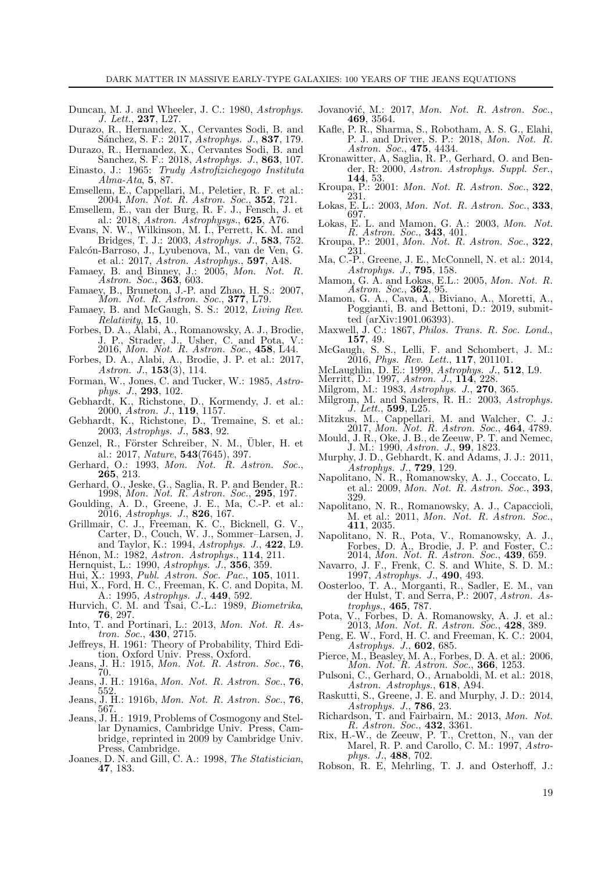- Duncan, M. J. and Wheeler, J. C.: 1980, *Astrophys. J. Lett.*, **<sup>237</sup>**, L27.
- Durazo, R., Hernandez, X., Cervantes Sodi, B. and S´anchez, S. F.: 2017, *Astrophys. J.*, **837**, 179.
- Durazo, R., Hernandez, X., Cervantes Sodi, B. and Sanchez, S. F.: 2018, *Astrophys. J.*, **863**, 107.
- Einasto, J.: 1965: *Trudy Astrofizichegogo Instituta Alma-Ata*, **5**, 87.
- Emsellem, E., Cappellari, M., Peletier, R. F. et al.: 2004, *Mon. Not. R. Astron. Soc.*, **352**, 721.
- Emsellem, E., van der Burg, R. F. J., Fensch, J. et al.: 2018, *Astron. Astrophysys.*, **625**, A76.
- Evans, N. W., Wilkinson, M. I., Perrett, K. M. and Bridges, T. J.: 2003, *Astrophys. J.*, **583**, 752.
- Falcón-Barroso, J., Lyubenova, M., van de Ven, G. et al.: 2017, *Astron. Astrophys.*, **597**, A48.
- Famaey, B. and Binney, J.: 2005, *Mon. Not. R. Astron. Soc.*, **363**, 603.
- Famaey, B., Bruneton, J.-P. and Zhao, H. S.: 2007, *Mon. Not. R. Astron. Soc.*, **<sup>377</sup>**, L79.
- Famaey, B. and McGaugh, S. S.: 2012, *Living Rev. Relativity*, **15**, 10.
- Forbes, D. A., Alabi, A., Romanowsky, A. J., Brodie, J. P., Strader, J., Usher, C. and Pota, V.: 2016, *Mon. Not. R. Astron. Soc.*, **458**, L44.
- Forbes, D. A., Alabi, A., Brodie, J. P. et al.: 2017, *Astron. J.*, **153**(3), 114.
- Forman, W., Jones, C. and Tucker, W.: 1985, *Astrophys. J.*, **293**, 102.
- Gebhardt, K., Richstone, D., Kormendy, J. et al.: 2000, *Astron. J.*, **119**, 1157.
- Gebhardt, K., Richstone, D., Tremaine, S. et al.: 2003, *Astrophys. J.*, **583**, 92.
- Genzel, R., Förster Schreiber, N. M., Ubler, H. et al.: 2017, *Nature*, **543**(7645), 397.
- Gerhard, O.: 1993, *Mon. Not. R. Astron. Soc.*, **<sup>265</sup>**, 213.
- Gerhard, O., Jeske, G., Saglia, R. P. and Bender, R.: 1998, *Mon. Not. R. Astron. Soc.*, **295**, 197.
- Goulding, A. D., Greene, J. E., Ma, C.-P. et al.: 2016, *Astrophys. J.*, **826**, 167.
- Grillmair, C. J., Freeman, K. C., Bicknell, G. V., Carter, D., Couch, W. J., Sommer–Larsen, J. and Taylor, K.: 1994, *Astrophys. J.*, **422**, L9.
- H´enon, M.: 1982, *Astron. Astrophys.*, **114**, 211.
- Hernquist, L.: 1990, *Astrophys. J.*, **356**, 359.
- Hui, X.: 1993, *Publ. Astron. Soc. Pac.*, **105**, 1011.
- Hui, X., Ford, H. C., Freeman, K. C. and Dopita, M. A.: 1995, *Astrophys. J.*, **449**, 592.
- Hurvich, C. M. and Tsai, C.-L.: 1989, *Biometrika*, **<sup>76</sup>**, 297.
- Into, T. and Portinari, L.: 2013, *Mon. Not. R. Astron. Soc.*, **430**, 2715.
- Jeffreys, H. 1961: Theory of Probability, Third Edition, Oxford Univ. Press, Oxford.
- Jeans, J. H.: 1915, *Mon. Not. R. Astron. Soc.*, **<sup>76</sup>**, 70.
- Jeans, J. H.: 1916a, *Mon. Not. R. Astron. Soc.*, **<sup>76</sup>**, 552.
- Jeans, J. H.: 1916b, *Mon. Not. R. Astron. Soc.*, **<sup>76</sup>**, 567. Jeans, J. H.: 1919, Problems of Cosmogony and Stel-
- lar Dynamics, Cambridge Univ. Press, Cambridge, reprinted in 2009 by Cambridge Univ. Press, Cambridge.
- Joanes, D. N. and Gill, C. A.: 1998, *The Statistician*, **<sup>47</sup>**, 183.
- Jovanović, M.: 2017, *Mon. Not. R. Astron. Soc.*, **469**, 3564.
- Kafle, P. R., Sharma, S., Robotham, A. S. G., Elahi, P. J. and Driver, S. P.: 2018, *Mon. Not. R. Astron. Soc.*, **475**, 4434.
- Kronawitter, A, Saglia, R. P., Gerhard, O. and Bender, R: 2000, *Astron. Astrophys. Suppl. Ser.*, **<sup>144</sup>**, 53.
- Kroupa, P.: 2001: *Mon. Not. R. Astron. Soc.*, **<sup>322</sup>**, 231.
- Lokas, E. L.: 2003, *Mon. Not. R. Astron. Soc.*, **<sup>333</sup>**, 697.
- Lokas, E. L. and Mamon, G. A.: 2003, *Mon. Not. R. Astron. Soc.*, **343**, 401.
- Kroupa, P.: 2001, *Mon. Not. R. Astron. Soc.*, **<sup>322</sup>**, 231. Ma, C.-P., Greene, J. E., McConnell, N. et al.: 2014,
- *Astrophys. J.*, **795**, 158.
- Mamon, G. A. and Lokas, E.L.: 2005, *Mon. Not. R.*
- *Astron. Soc.*, **<sup>362</sup>**, 95. Mamon, G. A., Cava, A., Biviano, A., Moretti, A., Poggianti, B. and Bettoni, D.: 2019, submitted (arXiv:1901.06393).
- Maxwell, J. C.: 1867, *Philos. Trans. R. Soc. Lond.*, **<sup>157</sup>**, 49.
- McGaugh, S. S., Lelli, F. and Schombert, J. M.: 2016, *Phys. Rev. Lett.*, **117**, 201101.
- McLaughlin, D. E.: 1999, *Astrophys. J.*, **512**, L9.
- Merritt, D.: 1997, *Astron. J.*, **114**, 228.
- Milgrom, M.: 1983, *Astrophys. J.*, **270**, 365.
- Milgrom, M. and Sanders, R. H.: 2003, *Astrophys. J. Lett.*, **599**, L25.
- Mitzkus, M., Cappellari, M. and Walcher, C. J.: 2017, *Mon. Not. R. Astron. Soc.*, **464**, 4789.
- Mould, J. R., Oke, J. B., de Zeeuw, P. T. and Nemec, J. M.: 1990, *Astron. J.*, **99**, 1823.
- Murphy, J. D., Gebhardt, K. and Adams, J. J.: 2011, *Astrophys. J.*, **729**, 129.
- Napolitano, N. R., Romanowsky, A. J., Coccato, L. et al.: 2009, *Mon. Not. R. Astron. Soc.*, **<sup>393</sup>**, 329.
- Napolitano, N. R., Romanowsky, A. J., Capaccioli, M. et al.: 2011, *Mon. Not. R. Astron. Soc.*, **<sup>411</sup>**, 2035.
- Napolitano, N. R., Pota, V., Romanowsky, A. J., Forbes, D. A., Brodie, J. P. and Foster, C.: 2014, *Mon. Not. R. Astron. Soc.*, **439**, 659.
- Navarro, J. F., Frenk, C. S. and White, S. D. M.: 1997, *Astrophys. J.*, **490**, 493.
- Oosterloo, T. A., Morganti, R., Sadler, E. M., van der Hulst, T. and Serra, P.: 2007, *Astron. Astrophys.*, **465**, 787.
- Pota, V., Forbes, D. A. Romanowsky, A. J. et al.: 2013, *Mon. Not. R. Astron. Soc.*, **428**, 389.
- Peng, E. W., Ford, H. C. and Freeman, K. C.: 2004, *Astrophys. J.*, **602**, 685.
- Pierce, M., Beasley, M. A., Forbes, D. A. et al.: 2006, *Mon. Not. R. Astron. Soc.*, **<sup>366</sup>**, 1253.
- Pulsoni, C., Gerhard, O., Arnaboldi, M. et al.: 2018, *Astron. Astrophys.*, **618**, A94.
- Raskutti, S., Greene, J. E. and Murphy, J. D.: 2014, *Astrophys. J.*, **786**, 23.
- Richardson, T. and Fairbairn, M.: 2013, *Mon. Not. R. Astron. Soc.*, **432**, 3361.
- Rix, H.-W., de Zeeuw, P. T., Cretton, N., van der Marel, R. P. and Carollo, C. M.: 1997, *Astrophys. J.*, **488**, 702.
- Robson, R. E, Mehrling, T. J. and Osterhoff, J.: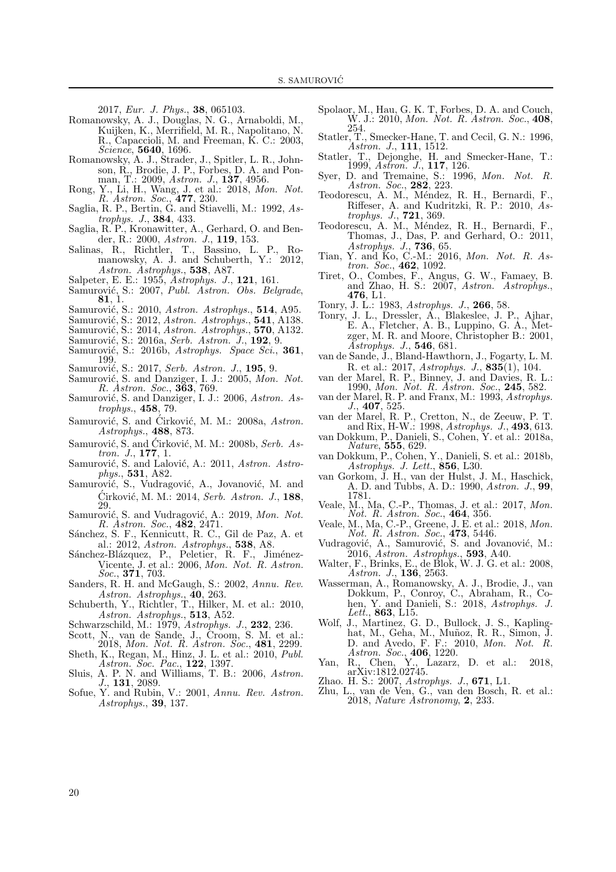2017, *Eur. J. Phys.*, **38**, 065103.

- Romanowsky, A. J., Douglas, N. G., Arnaboldi, M., Kuijken, K., Merrifield, M. R., Napolitano, N. R., Capaccioli, M. and Freeman, K. C.: 2003, *Science*, **5640**, 1696.
- Romanowsky, A. J., Strader, J., Spitler, L. R., Johnson, R., Brodie, J. P., Forbes, D. A. and Ponman, T.: 2009, *Astron. J.*, **137**, 4956.
- Rong, Y., Li, H., Wang, J. et al.: 2018, *Mon. Not. R. Astron. Soc.*, **477**, 230.
- Saglia, R. P., Bertin, G. and Stiavelli, M.: 1992, *Astrophys. J.*, **384**, 433.
- Saglia, R. P., Kronawitter, A., Gerhard, O. and Bender, R.: 2000, *Astron. J.*, **119**, 153.
- Salinas, R., Richtler, T., Bassino, L. P., Romanowsky, A. J. and Schuberth, Y.: 2012, *Astron. Astrophys.*, **538**, A87.
- Salpeter, E. E.: 1955, *Astrophys. J.*, **121**, 161.
- Samurovi´c, S.: 2007, *Publ. Astron. Obs. Belgrade*, **<sup>81</sup>**, 1.
- Samurović, S.: 2010, *Astron. Astrophys.*, **514**, A95.
- Samurović, S.: 2012, *Astron. Astrophys.*, **541**, A138.
- Samurovi´c, S.: 2014, *Astron. Astrophys.*, **570**, A132.
- Samurovi´c, S.: 2016a, *Serb. Astron. J.*, **192**, 9.
- Samurović, S.: 2016b, *Astrophys. Space Sci.*, **361**, 199.
- Samurovi´c, S.: 2017, *Serb. Astron. J.*, **195**, 9.
- Samurović, S. and Danziger, I. J.: 2005, Mon. Not. *R. Astron. Soc.*, **363**, 769.
- Samurović, S. and Danziger, I. J.: 2006, *Astron. Astrophys.*, **458**, 79.
- Samurović, S. and Cirković, M. M.: 2008a, *Astron. Astrophys.*, **488**, 873.
- Samurović, S. and Ćirković, M. M.: 2008b, *Serb. Astron. J.*, **177**, 1.
- Samurović, S. and Lalović, A.: 2011, *Astron. Astrophys.*, **531**, A82.
- Samurović, S., Vudragović, A., Jovanović, M. and Čirković, M. M.: 2014, *Serb. Astron. J.*, **188**, 29.
- Samurović, S. and Vudragović, A.: 2019, *Mon. Not. R. Astron. Soc.*, **482**, 2471.
- Sánchez, S. F., Kennicutt, R. C., Gil de Paz, A. et al.: 2012, *Astron. Astrophys.*, **538**, A8.
- Sánchez-Blázquez, P., Peletier, R. F., Jiménez-Vicente, J. et al.: 2006, *Mon. Not. R. Astron. Soc.*, **371**, 703.
- Sanders, R. H. and McGaugh, S.: 2002, *Annu. Rev. Astron. Astrophys.*, **40**, 263.
- Schuberth, Y., Richtler, T., Hilker, M. et al.: 2010, *Astron. Astrophys.*, **513**, A52.
- Schwarzschild, M.: 1979, *Astrophys. J.*, **232**, 236.
- Scott, N., van de Sande, J., Croom, S. M. et al.: 2018, *Mon. Not. R. Astron. Soc.*, **481**, 2299.
- Sheth, K., Regan, M., Hinz, J. L. et al.: 2010, *Publ. Astron. Soc. Pac.*, **122**, 1397.
- Sluis, A. P. N. and Williams, T. B.: 2006, *Astron. J.*, **131**, 2089.
- Sofue, Y. and Rubin, V.: 2001, *Annu. Rev. Astron. Astrophys.*, **39**, 137.
- Spolaor, M., Hau, G. K. T, Forbes, D. A. and Couch, W. J.: 2010, *Mon. Not. R. Astron. Soc.*, **<sup>408</sup>**, 254.
- Statler, T., Smecker-Hane, T. and Cecil, G. N.: 1996, *Astron. J.*, **<sup>111</sup>**, 1512.
- Statler, T., Dejonghe, H. and Smecker-Hane, T.: 1999, *Astron. J.*, **117**, 126.
- Syer, D. and Tremaine, S.: 1996, *Mon. Not. R. Astron. Soc.*, **282**, 223.
- Teodorescu, A. M., Méndez, R. H., Bernardi, F., Riffeser, A. and Kudritzki, R. P.: 2010, *Astrophys. J.*, **721**, 369.
- Teodorescu, A. M., Méndez, R. H., Bernardi, F., Thomas, J., Das, P. and Gerhard, O.: 2011, *Astrophys. J.*, **736**, 65.
- Tian, Y. and Ko, C.-M.: 2016, *Mon. Not. R. Astron. Soc.*, **462**, 1092.
- Tiret, O., Combes, F., Angus, G. W., Famaey, B. and Zhao, H. S.: 2007, *Astron. Astrophys.*, **<sup>476</sup>**, L1.
- Tonry, J. L.: 1983, *Astrophys. J.*, **266**, 58.
- Tonry, J. L., Dressler, A., Blakeslee, J. P., Ajhar, E. A., Fletcher, A. B., Luppino, G. A., Metzger, M. R. and Moore, Christopher B.: 2001, *Astrophys. J.*, **546**, 681.
- van de Sande, J., Bland-Hawthorn, J., Fogarty, L. M. R. et al.: 2017, *Astrophys. J.*, **835**(1), 104.
- van der Marel, R. P., Binney, J. and Davies, R. L.: 1990, *Mon. Not. R. Astron. Soc.*, **245**, 582.
- van der Marel, R. P. and Franx, M.: 1993, *Astrophys. J.*, **407**, 525.
- van der Marel, R. P., Cretton, N., de Zeeuw, P. T. and Rix, H-W.: 1998, *Astrophys. J.*, **493**, 613.
- van Dokkum, P., Danieli, S., Cohen, Y. et al.: 2018a, *Nature*, **555**, 629.
- van Dokkum, P., Cohen, Y., Danieli, S. et al.: 2018b, *Astrophys. J. Lett.*, **856**, L30.
- van Gorkom, J. H., van der Hulst, J. M., Haschick, A. D. and Tubbs, A. D.: 1990, *Astron. J.*, **<sup>99</sup>**, 1781.
- Veale, M., Ma, C.-P., Thomas, J. et al.: 2017, *Mon. Not. R. Astron. Soc.*, **464**, 356.
- Veale, M., Ma, C.-P., Greene, J. E. et al.: 2018, *Mon. Not. R. Astron. Soc.*, **473**, 5446.
- Vudragović, A., Samurović, S. and Jovanović, M.: 2016, *Astron. Astrophys.*, **593**, A40.
- Walter, F., Brinks, E., de Blok, W. J. G. et al.: 2008, *Astron. J.*, **<sup>136</sup>**, 2563.
- Wasserman, A., Romanowsky, A. J., Brodie, J., van Dokkum, P., Conroy, C., Abraham, R., Cohen, Y. and Danieli, S.: 2018, *Astrophys. J. Lett.*, **863**, L15.
- Wolf, J., Martinez, G. D., Bullock, J. S., Kaplinghat, M., Geha, M., Muñoz, R. R., Simon, J. D. and Avedo, F. F.: 2010, *Mon. Not. R. Astron. Soc.*, **406**, 1220.
- Yan, R., Chen, Y., Lazarz, D. et al.: 2018, arXiv:1812.02745.
- Zhao. H. S.: 2007, *Astrophys. J.*, **671**, L1.
- Zhu, L., van de Ven, G., van den Bosch, R. et al.: 2018, *Nature Astronomy*, **2**, 233.